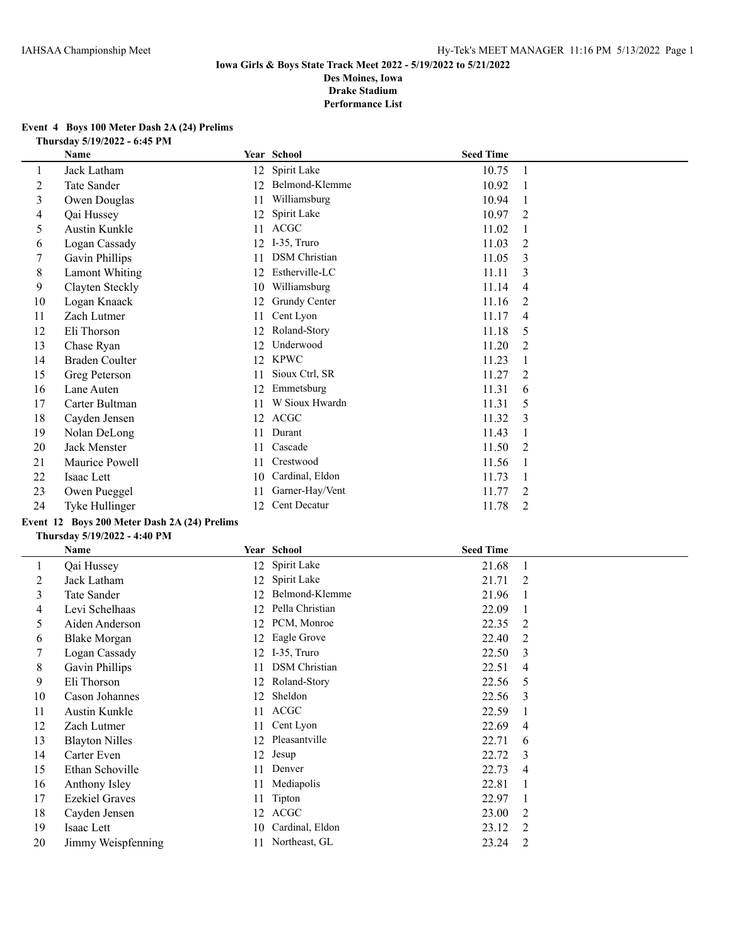#### **Event 4 Boys 100 Meter Dash 2A (24) Prelims Thursday 5/19/2022 - 6:45 PM**

|    | <b>Name</b>           |    | Year School          | <b>Seed Time</b> |                |
|----|-----------------------|----|----------------------|------------------|----------------|
| 1  | Jack Latham           | 12 | Spirit Lake          | 10.75            | -1             |
| 2  | Tate Sander           | 12 | Belmond-Klemme       | 10.92            |                |
| 3  | Owen Douglas          | 11 | Williamsburg         | 10.94            |                |
| 4  | Qai Hussey            | 12 | Spirit Lake          | 10.97            | 2              |
| 5  | Austin Kunkle         | 11 | <b>ACGC</b>          | 11.02            |                |
| 6  | Logan Cassady         | 12 | I-35, Truro          | 11.03            | 2              |
| 7  | Gavin Phillips        | 11 | <b>DSM</b> Christian | 11.05            | 3              |
| 8  | <b>Lamont Whiting</b> | 12 | Estherville-LC       | 11.11            | 3              |
| 9  | Clayten Steckly       | 10 | Williamsburg         | 11.14            | 4              |
| 10 | Logan Knaack          | 12 | Grundy Center        | 11.16            | 2              |
| 11 | Zach Lutmer           | 11 | Cent Lyon            | 11.17            | $\overline{4}$ |
| 12 | Eli Thorson           | 12 | Roland-Story         | 11.18            | 5              |
| 13 | Chase Ryan            | 12 | Underwood            | 11.20            | 2              |
| 14 | <b>Braden Coulter</b> | 12 | <b>KPWC</b>          | 11.23            |                |
| 15 | Greg Peterson         | 11 | Sioux Ctrl, SR       | 11.27            | 2              |
| 16 | Lane Auten            | 12 | Emmetsburg           | 11.31            | 6              |
| 17 | Carter Bultman        | 11 | W Sioux Hwardn       | 11.31            | 5              |
| 18 | Cayden Jensen         | 12 | <b>ACGC</b>          | 11.32            | 3              |
| 19 | Nolan DeLong          | 11 | Durant               | 11.43            |                |
| 20 | Jack Menster          | 11 | Cascade              | 11.50            | 2              |
| 21 | Maurice Powell        | 11 | Crestwood            | 11.56            |                |
| 22 | Isaac Lett            | 10 | Cardinal, Eldon      | 11.73            |                |
| 23 | Owen Pueggel          | 11 | Garner-Hay/Vent      | 11.77            | 2              |
| 24 | Tyke Hullinger        | 12 | Cent Decatur         | 11.78            | 2              |

# **Event 12 Boys 200 Meter Dash 2A (24) Prelims**

#### **Thursday 5/19/2022 - 4:40 PM**

|    | Name                  |    | Year School          | <b>Seed Time</b> |                |
|----|-----------------------|----|----------------------|------------------|----------------|
| 1  | Qai Hussey            | 12 | Spirit Lake          | 21.68            |                |
| 2  | Jack Latham           | 12 | Spirit Lake          | 21.71            | 2              |
| 3  | Tate Sander           | 12 | Belmond-Klemme       | 21.96            | -1             |
| 4  | Levi Schelhaas        | 12 | Pella Christian      | 22.09            |                |
| 5  | Aiden Anderson        | 12 | PCM, Monroe          | 22.35            | 2              |
| 6  | <b>Blake Morgan</b>   | 12 | Eagle Grove          | 22.40            | 2              |
| 7  | Logan Cassady         | 12 | I-35, Truro          | 22.50            | 3              |
| 8  | Gavin Phillips        | 11 | <b>DSM</b> Christian | 22.51            | 4              |
| 9  | Eli Thorson           | 12 | Roland-Story         | 22.56            | 5              |
| 10 | Cason Johannes        | 12 | Sheldon              | 22.56            | 3              |
| 11 | Austin Kunkle         | 11 | <b>ACGC</b>          | 22.59            |                |
| 12 | Zach Lutmer           | 11 | Cent Lyon            | 22.69            | $\overline{4}$ |
| 13 | <b>Blayton Nilles</b> | 12 | Pleasantville        | 22.71            | 6              |
| 14 | Carter Even           | 12 | Jesup                | 22.72            | 3              |
| 15 | Ethan Schoville       | 11 | Denver               | 22.73            | 4              |
| 16 | Anthony Isley         | 11 | Mediapolis           | 22.81            |                |
| 17 | <b>Ezekiel Graves</b> | 11 | Tipton               | 22.97            |                |
| 18 | Cayden Jensen         | 12 | <b>ACGC</b>          | 23.00            | 2              |
| 19 | Isaac Lett            | 10 | Cardinal, Eldon      | 23.12            | 2              |
| 20 | Jimmy Weispfenning    | 11 | Northeast, GL        | 23.24            | 2              |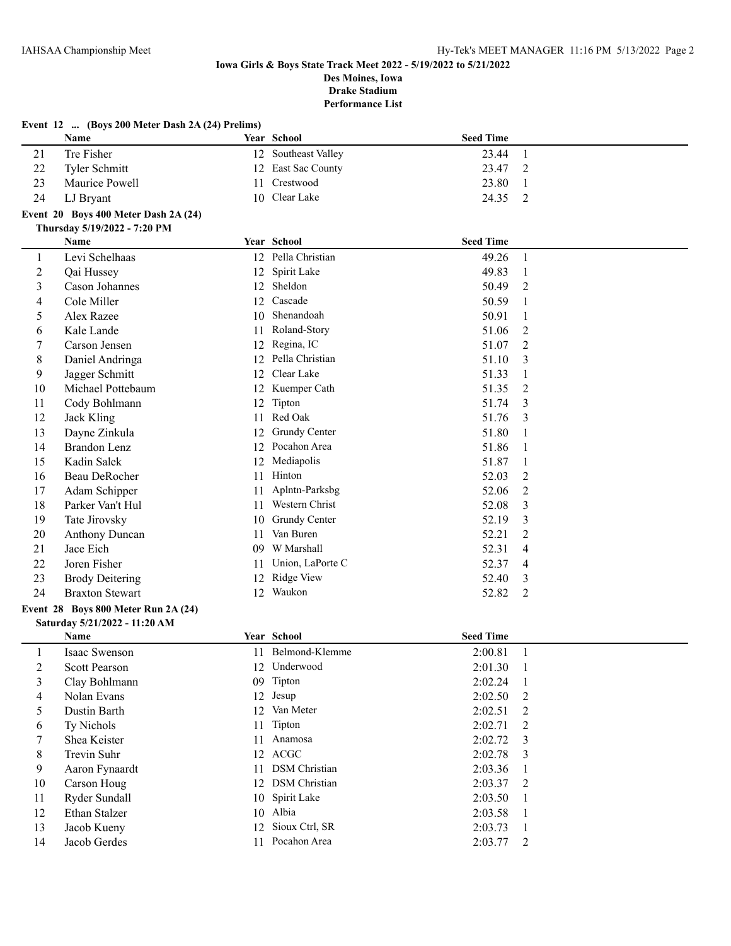|                | Event 12  (Boys 200 Meter Dash 2A (24) Prelims) |    |                     |                  |                |
|----------------|-------------------------------------------------|----|---------------------|------------------|----------------|
|                | Name                                            |    | Year School         | <b>Seed Time</b> |                |
| 21             | Tre Fisher                                      |    | 12 Southeast Valley | 23.44            | $\mathbf{1}$   |
| 22             | Tyler Schmitt                                   | 12 | East Sac County     | 23.47            | 2              |
| 23             | Maurice Powell                                  | 11 | Crestwood           | 23.80            | -1             |
| 24             | LJ Bryant                                       |    | 10 Clear Lake       | 24.35            | $\overline{2}$ |
|                | Event 20 Boys 400 Meter Dash 2A (24)            |    |                     |                  |                |
|                | Thursday 5/19/2022 - 7:20 PM                    |    |                     |                  |                |
|                | Name                                            |    | Year School         | <b>Seed Time</b> |                |
| 1              | Levi Schelhaas                                  |    | 12 Pella Christian  | 49.26            | -1             |
| $\overline{c}$ | Qai Hussey                                      | 12 | Spirit Lake         | 49.83            | -1             |
| 3              | Cason Johannes                                  | 12 | Sheldon             | 50.49            | 2              |
| 4              | Cole Miller                                     | 12 | Cascade             | 50.59            | $\mathbf{1}$   |
| 5              | Alex Razee                                      | 10 | Shenandoah          | 50.91            | 1              |
| 6              | Kale Lande                                      | 11 | Roland-Story        | 51.06            | $\overline{2}$ |
| 7              | Carson Jensen                                   | 12 | Regina, IC          | 51.07            | $\overline{2}$ |
| 8              | Daniel Andringa                                 | 12 | Pella Christian     | 51.10            | 3              |
| 9              | Jagger Schmitt                                  | 12 | Clear Lake          | 51.33            | 1              |
| 10             | Michael Pottebaum                               | 12 | Kuemper Cath        | 51.35            | $\overline{2}$ |
| 11             | Cody Bohlmann                                   | 12 | Tipton              | 51.74            | 3              |
| 12             | Jack Kling                                      | 11 | Red Oak             | 51.76            | 3              |
| 13             | Dayne Zinkula                                   | 12 | Grundy Center       | 51.80            | 1              |
| 14             | <b>Brandon Lenz</b>                             |    | 12 Pocahon Area     | 51.86            | 1              |
| 15             | Kadin Salek                                     | 12 | Mediapolis          | 51.87            | 1              |
| 16             | Beau DeRocher                                   | 11 | Hinton              | 52.03            | 2              |
| 17             | Adam Schipper                                   | 11 | Aplntn-Parksbg      | 52.06            | $\overline{2}$ |
| 18             | Parker Van't Hul                                |    | 11 Western Christ   | 52.08            | 3              |
| 19             | Tate Jirovsky                                   | 10 | Grundy Center       | 52.19            | 3              |
| 20             | <b>Anthony Duncan</b>                           | 11 | Van Buren           | 52.21            | $\overline{2}$ |
| 21             | Jace Eich                                       | 09 | W Marshall          | 52.31            | $\overline{4}$ |
| 22             | Joren Fisher                                    | 11 | Union, LaPorte C    | 52.37            | $\overline{4}$ |
| 23             | <b>Brody Deitering</b>                          | 12 | Ridge View          | 52.40            | 3              |
| 24             | <b>Braxton Stewart</b>                          |    | 12 Waukon           | 52.82            | 2              |
|                | Event 28 Boys 800 Meter Run 2A (24)             |    |                     |                  |                |
|                | Saturday 5/21/2022 - 11:20 AM                   |    |                     |                  |                |
|                | Namo                                            |    | Voor School         | Sood Time        |                |

|    | Name                 |    | Year School          | <b>Seed Time</b> |                |
|----|----------------------|----|----------------------|------------------|----------------|
|    | Isaac Swenson        | 11 | Belmond-Klemme       | 2:00.81          |                |
| 2  | <b>Scott Pearson</b> | 12 | Underwood            | 2:01.30          | $\blacksquare$ |
| 3  | Clay Bohlmann        |    | 09 Tipton            | 2:02.24          |                |
| 4  | Nolan Evans          |    | 12 Jesup             | 2:02.50          | $\overline{2}$ |
| 5. | Dustin Barth         |    | 12 Van Meter         | 2:02.51          | 2              |
| 6  | Ty Nichols           |    | 11 Tipton            | $2:02.71$ 2      |                |
|    | Shea Keister         | 11 | Anamosa              | 2:02.72          | $\overline{3}$ |
| 8  | Trevin Suhr          |    | 12 ACGC              | $2:02.78$ 3      |                |
| 9  | Aaron Fynaardt       | 11 | <b>DSM</b> Christian | 2:03.36          |                |
| 10 | Carson Houg          |    | 12 DSM Christian     | $2:03.37$ 2      |                |
| 11 | Ryder Sundall        |    | 10 Spirit Lake       | 2:03.50          |                |
| 12 | Ethan Stalzer        |    | 10 Albia             | 2:03.58          | $\mathbf{1}$   |
| 13 | Jacob Kueny          |    | 12 Sioux Ctrl, SR    | 2:03.73          |                |
| 14 | Jacob Gerdes         | 11 | Pocahon Area         | 2:03.77          | $\overline{2}$ |
|    |                      |    |                      |                  |                |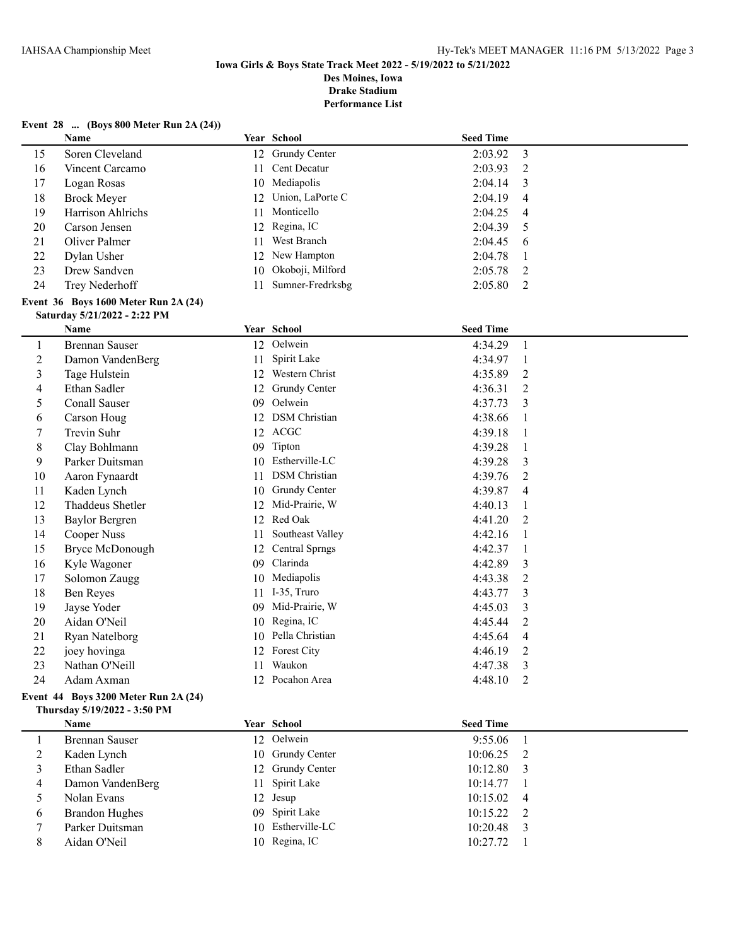**Performance List**

## **Event 28 ... (Boys 800 Meter Run 2A (24))**

|    | Name                                        |    | Year School         | <b>Seed Time</b> |                |
|----|---------------------------------------------|----|---------------------|------------------|----------------|
| 15 | Soren Cleveland                             |    | 12 Grundy Center    | 2:03.92          | -3             |
| 16 | Vincent Carcamo                             | 11 | Cent Decatur        | 2:03.93          | -2             |
| 17 | Logan Rosas                                 |    | 10 Mediapolis       | 2:04.14          | -3             |
| 18 | Brock Meyer                                 |    | 12 Union, LaPorte C | 2:04.19          | -4             |
| 19 | Harrison Ahlrichs                           | 11 | Monticello          | 2:04.25          | $\overline{4}$ |
| 20 | Carson Jensen                               |    | 12 Regina, IC       | 2:04.39          | -5             |
| 21 | Oliver Palmer                               | 11 | West Branch         | 2:04.45          | - 6            |
| 22 | Dylan Usher                                 |    | 12 New Hampton      | 2:04.78          |                |
| 23 | Drew Sandven                                |    | 10 Okoboji, Milford | 2:05.78          | - 2            |
| 24 | Trey Nederhoff                              | 11 | Sumner-Fredrksbg    | 2:05.80          | 2              |
|    | <b>Event 36 Boys 1600 Meter Run 2A (24)</b> |    |                     |                  |                |

**Saturday 5/21/2022 - 2:22 PM**

|    | <b>Name</b>           |    | Year School          | <b>Seed Time</b> |                               |
|----|-----------------------|----|----------------------|------------------|-------------------------------|
| 1  | <b>Brennan Sauser</b> | 12 | Oelwein              | 4:34.29          | 1                             |
| 2  | Damon VandenBerg      | 11 | Spirit Lake          | 4:34.97          |                               |
| 3  | Tage Hulstein         | 12 | Western Christ       | 4:35.89          | 2                             |
| 4  | Ethan Sadler          | 12 | Grundy Center        | 4:36.31          | 2                             |
| 5  | Conall Sauser         | 09 | Oelwein              | 4:37.73          | 3                             |
| 6  | Carson Houg           | 12 | <b>DSM</b> Christian | 4:38.66          |                               |
| 7  | Trevin Suhr           | 12 | <b>ACGC</b>          | 4:39.18          |                               |
| 8  | Clay Bohlmann         | 09 | Tipton               | 4:39.28          |                               |
| 9  | Parker Duitsman       | 10 | Estherville-LC       | 4:39.28          | 3                             |
| 10 | Aaron Fynaardt        | 11 | <b>DSM</b> Christian | 4:39.76          | 2                             |
| 11 | Kaden Lynch           | 10 | <b>Grundy Center</b> | 4:39.87          | 4                             |
| 12 | Thaddeus Shetler      | 12 | Mid-Prairie, W       | 4:40.13          |                               |
| 13 | <b>Baylor Bergren</b> | 12 | Red Oak              | 4:41.20          | $\mathfrak{D}_{\mathfrak{p}}$ |
| 14 | Cooper Nuss           | 11 | Southeast Valley     | 4:42.16          |                               |
| 15 | Bryce McDonough       | 12 | Central Sprngs       | 4:42.37          |                               |
| 16 | Kyle Wagoner          | 09 | Clarinda             | 4:42.89          | 3                             |
| 17 | Solomon Zaugg         | 10 | Mediapolis           | 4:43.38          | 2                             |
| 18 | Ben Reyes             | 11 | I-35, Truro          | 4:43.77          | 3                             |
| 19 | Jayse Yoder           | 09 | Mid-Prairie, W       | 4:45.03          | 3                             |
| 20 | Aidan O'Neil          | 10 | Regina, IC           | 4:45.44          | 2                             |
| 21 | Ryan Natelborg        | 10 | Pella Christian      | 4:45.64          | 4                             |
| 22 | joey hovinga          | 12 | Forest City          | 4:46.19          | 2                             |
| 23 | Nathan O'Neill        | 11 | Waukon               | 4:47.38          | 3                             |
| 24 | Adam Axman            | 12 | Pocahon Area         | 4:48.10          | 2                             |

### **Event 44 Boys 3200 Meter Run 2A (24) Thursday 5/19/2022 - 3:50 PM**

|   | <b>Name</b>      | Year School       | <b>Seed Time</b> |  |
|---|------------------|-------------------|------------------|--|
|   | Brennan Sauser   | 12 Oelwein        | $9:55.06$ 1      |  |
|   | Kaden Lynch      | 10 Grundy Center  | $10:06.25$ 2     |  |
|   | Ethan Sadler     | 12 Grundy Center  | $10:12.80$ 3     |  |
| 4 | Damon VandenBerg | 11 Spirit Lake    | $10:14.77$ 1     |  |
|   | Nolan Evans      | 12 Jesup          | $10:15.02$ 4     |  |
| 6 | Brandon Hughes   | 09 Spirit Lake    | $10:15.22$ 2     |  |
|   | Parker Duitsman  | 10 Estherville-LC | $10:20.48$ 3     |  |
|   | Aidan O'Neil     | 10 Regina, IC     | 10:27.72         |  |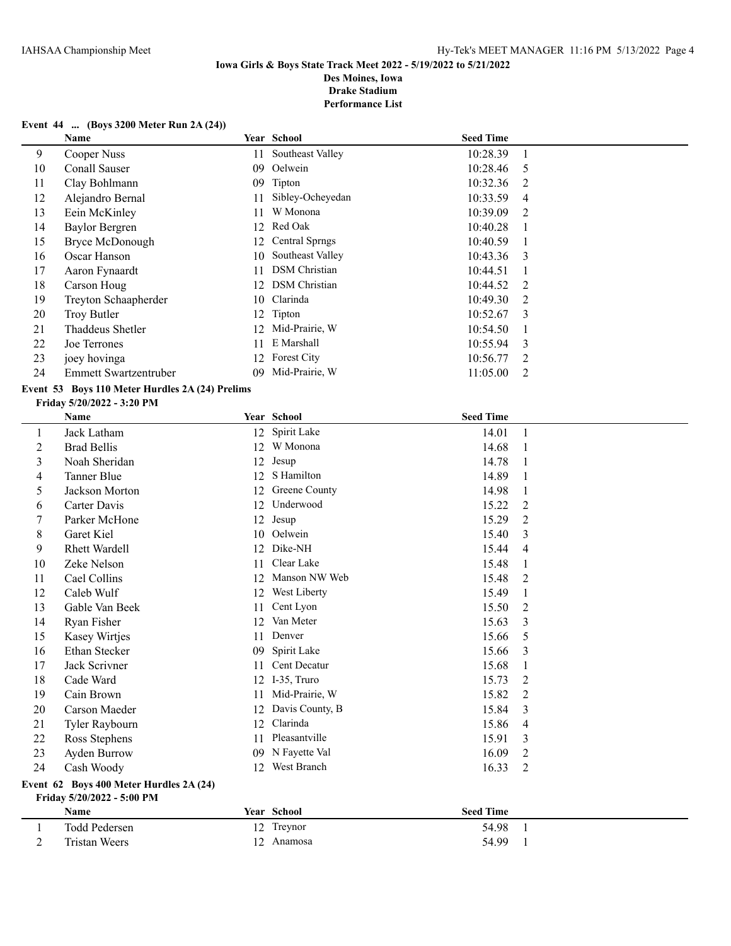### **Iowa Girls & Boys State Track Meet 2022 - 5/19/2022 to 5/21/2022 Des Moines, Iowa**

**Drake Stadium**

**Performance List**

## **Event 44 ... (Boys 3200 Meter Run 2A (24))**

|    | Name                         |     | Year School           | <b>Seed Time</b> |                |
|----|------------------------------|-----|-----------------------|------------------|----------------|
| 9  | Cooper Nuss                  | 11  | Southeast Valley      | 10:28.39         |                |
| 10 | Conall Sauser                | 09  | Oelwein               | 10:28.46         | - 5            |
| 11 | Clay Bohlmann                | 09  | Tipton                | 10:32.36         | 2              |
| 12 | Alejandro Bernal             | 11  | Sibley-Ocheyedan      | 10:33.59         | 4              |
| 13 | Eein McKinley                | 11  | W Monona              | 10:39.09         | 2              |
| 14 | <b>Baylor Bergren</b>        | 12. | Red Oak               | 10:40.28         |                |
| 15 | Bryce McDonough              | 12  | <b>Central Sprngs</b> | 10:40.59         |                |
| 16 | Oscar Hanson                 | 10  | Southeast Valley      | 10:43.36         | -3             |
| 17 | Aaron Fynaardt               | 11  | <b>DSM</b> Christian  | 10:44.51         |                |
| 18 | Carson Houg                  | 12. | <b>DSM</b> Christian  | 10:44.52         | 2              |
| 19 | Treyton Schaapherder         | 10  | Clarinda              | 10:49.30         | $\mathcal{L}$  |
| 20 | Troy Butler                  |     | 12 Tipton             | 10:52.67         | $\mathcal{E}$  |
| 21 | Thaddeus Shetler             | 12  | Mid-Prairie, W        | 10:54.50         |                |
| 22 | Joe Terrones                 | 11  | E Marshall            | 10:55.94         | 3              |
| 23 | joey hovinga                 | 12. | Forest City           | 10:56.77         | $\overline{2}$ |
| 24 | <b>Emmett Swartzentruber</b> | 09  | Mid-Prairie, W        | 11:05.00         | 2              |

## **Event 53 Boys 110 Meter Hurdles 2A (24) Prelims**

#### **Friday 5/20/2022 - 3:20 PM**

|         | Name                 |    | Year School     | <b>Seed Time</b> |                |
|---------|----------------------|----|-----------------|------------------|----------------|
| $\perp$ | Jack Latham          | 12 | Spirit Lake     | 14.01            |                |
| 2       | <b>Brad Bellis</b>   | 12 | W Monona        | 14.68            |                |
| 3       | Noah Sheridan        | 12 | Jesup           | 14.78            |                |
| 4       | Tanner Blue          | 12 | S Hamilton      | 14.89            | 1              |
| 5       | Jackson Morton       | 12 | Greene County   | 14.98            | 1              |
| 6       | Carter Davis         | 12 | Underwood       | 15.22            | $\overline{2}$ |
| 7       | Parker McHone        | 12 | Jesup           | 15.29            | $\overline{2}$ |
| 8       | Garet Kiel           | 10 | Oelwein         | 15.40            | 3              |
| 9       | <b>Rhett Wardell</b> | 12 | Dike-NH         | 15.44            | 4              |
| 10      | Zeke Nelson          | 11 | Clear Lake      | 15.48            | 1              |
| 11      | Cael Collins         | 12 | Manson NW Web   | 15.48            | $\overline{2}$ |
| 12      | Caleb Wulf           | 12 | West Liberty    | 15.49            | 1              |
| 13      | Gable Van Beek       | 11 | Cent Lyon       | 15.50            | 2              |
| 14      | Ryan Fisher          | 12 | Van Meter       | 15.63            | 3              |
| 15      | Kasey Wirtjes        | 11 | Denver          | 15.66            | 5              |
| 16      | Ethan Stecker        | 09 | Spirit Lake     | 15.66            | 3              |
| 17      | Jack Scrivner        | 11 | Cent Decatur    | 15.68            | 1              |
| 18      | Cade Ward            | 12 | I-35, Truro     | 15.73            | 2              |
| 19      | Cain Brown           | 11 | Mid-Prairie, W  | 15.82            | 2              |
| 20      | Carson Maeder        | 12 | Davis County, B | 15.84            | 3              |
| 21      | Tyler Raybourn       | 12 | Clarinda        | 15.86            | 4              |
| 22      | Ross Stephens        | 11 | Pleasantville   | 15.91            | 3              |
| 23      | Ayden Burrow         | 09 | N Fayette Val   | 16.09            | $\overline{2}$ |
| 24      | Cash Woody           | 12 | West Branch     | 16.33            | $\overline{2}$ |

#### **Event 62 Boys 400 Meter Hurdles 2A (24) Friday 5/20/2022 - 5:00 PM**

| <b>Name</b>   |     | <b>Year</b> School | <b>Seed Time</b> |  |
|---------------|-----|--------------------|------------------|--|
| Todd Pedersen |     | 12 Treynor         | 54.98            |  |
| Tristan Weers | ר ו | Anamosa            | 54.99            |  |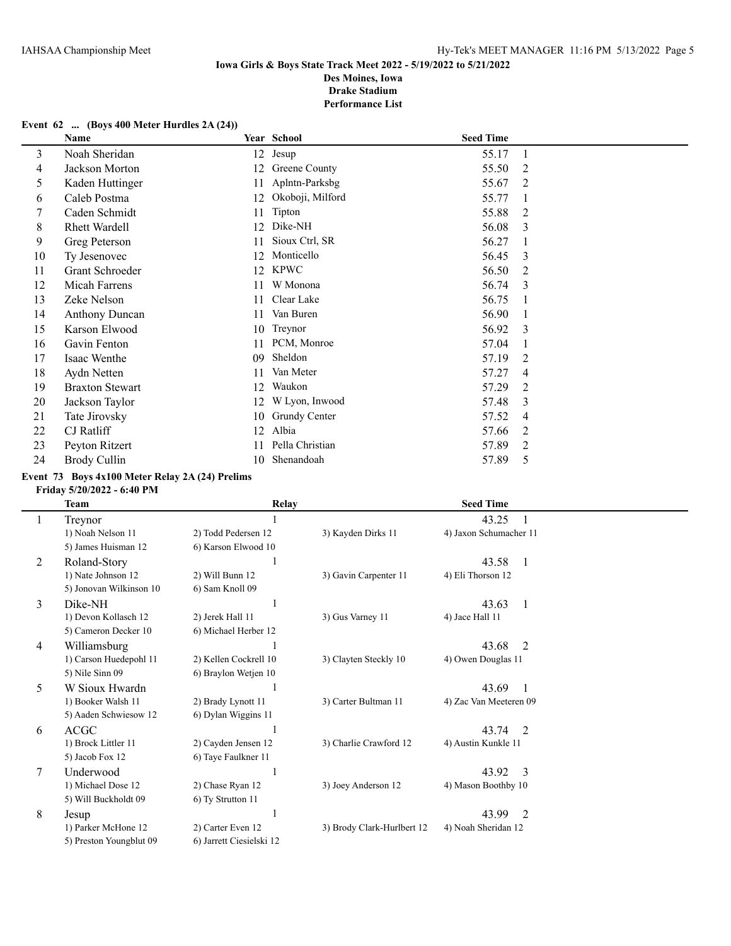### **Event 62 ... (Boys 400 Meter Hurdles 2A (24))**

|    | Name                   |    | Year School      | <b>Seed Time</b> |   |
|----|------------------------|----|------------------|------------------|---|
| 3  | Noah Sheridan          | 12 | Jesup            | 55.17            | 1 |
| 4  | Jackson Morton         | 12 | Greene County    | 55.50            | 2 |
| 5  | Kaden Huttinger        | 11 | Aplntn-Parksbg   | 55.67            | 2 |
| 6  | Caleb Postma           | 12 | Okoboji, Milford | 55.77            | 1 |
| 7  | Caden Schmidt          | 11 | Tipton           | 55.88            | 2 |
| 8  | <b>Rhett Wardell</b>   | 12 | Dike-NH          | 56.08            | 3 |
| 9  | Greg Peterson          | 11 | Sioux Ctrl, SR   | 56.27            |   |
| 10 | Ty Jesenovec           | 12 | Monticello       | 56.45            | 3 |
| 11 | Grant Schroeder        | 12 | <b>KPWC</b>      | 56.50            | 2 |
| 12 | Micah Farrens          | 11 | W Monona         | 56.74            | 3 |
| 13 | Zeke Nelson            | 11 | Clear Lake       | 56.75            |   |
| 14 | <b>Anthony Duncan</b>  | 11 | Van Buren        | 56.90            |   |
| 15 | Karson Elwood          | 10 | Treynor          | 56.92            | 3 |
| 16 | Gavin Fenton           | 11 | PCM, Monroe      | 57.04            | 1 |
| 17 | Isaac Wenthe           | 09 | Sheldon          | 57.19            | 2 |
| 18 | Aydn Netten            | 11 | Van Meter        | 57.27            | 4 |
| 19 | <b>Braxton Stewart</b> | 12 | Waukon           | 57.29            | 2 |
| 20 | Jackson Taylor         | 12 | W Lyon, Inwood   | 57.48            | 3 |
| 21 | Tate Jirovsky          | 10 | Grundy Center    | 57.52            | 4 |
| 22 | CJ Ratliff             | 12 | Albia            | 57.66            | 2 |
| 23 | Peyton Ritzert         | 11 | Pella Christian  | 57.89            | 2 |
| 24 | Brody Cullin           | 10 | Shenandoah       | 57.89            | 5 |

### **Event 73 Boys 4x100 Meter Relay 2A (24) Prelims**

### **Friday 5/20/2022 - 6:40 PM**

|    | <b>Team</b>             | <b>Relay</b>             |                            | <b>Seed Time</b>        |  |
|----|-------------------------|--------------------------|----------------------------|-------------------------|--|
|    | Treynor                 |                          |                            | 43.25                   |  |
|    | 1) Noah Nelson 11       | 2) Todd Pedersen 12      | 3) Kayden Dirks 11         | 4) Jaxon Schumacher 11  |  |
|    | 5) James Huisman 12     | 6) Karson Elwood 10      |                            |                         |  |
| 2  | Roland-Story            |                          |                            | 43.58<br>-1             |  |
|    | 1) Nate Johnson 12      | 2) Will Bunn 12          | 3) Gavin Carpenter 11      | 4) Eli Thorson 12       |  |
|    | 5) Jonovan Wilkinson 10 | 6) Sam Knoll 09          |                            |                         |  |
| 3  | Dike-NH                 |                          |                            | 43.63<br>$\overline{1}$ |  |
|    | 1) Devon Kollasch 12    | 2) Jerek Hall 11         | 3) Gus Varney 11           | 4) Jace Hall 11         |  |
|    | 5) Cameron Decker 10    | 6) Michael Herber 12     |                            |                         |  |
| 4  | Williamsburg            |                          |                            | 43.68<br>$\overline{2}$ |  |
|    | 1) Carson Huedepohl 11  | 2) Kellen Cockrell 10    | 3) Clayten Steckly 10      | 4) Owen Douglas 11      |  |
|    | 5) Nile Sinn 09         | 6) Braylon Wetjen 10     |                            |                         |  |
| 5. | W Sioux Hwardn          |                          |                            | 43.69                   |  |
|    | 1) Booker Walsh 11      | 2) Brady Lynott 11       | 3) Carter Bultman 11       | 4) Zac Van Meeteren 09  |  |
|    | 5) Aaden Schwiesow 12   | 6) Dylan Wiggins 11      |                            |                         |  |
| 6  | <b>ACGC</b>             |                          |                            | 43.74<br>$\overline{2}$ |  |
|    | 1) Brock Littler 11     | 2) Cayden Jensen 12      | 3) Charlie Crawford 12     | 4) Austin Kunkle 11     |  |
|    | 5) Jacob Fox 12         | 6) Taye Faulkner 11      |                            |                         |  |
| 7  | Underwood               |                          |                            | 43.92<br>3              |  |
|    | 1) Michael Dose 12      | 2) Chase Ryan 12         | 3) Joey Anderson 12        | 4) Mason Boothby 10     |  |
|    | 5) Will Buckholdt 09    | 6) Ty Strutton 11        |                            |                         |  |
| 8  | Jesup                   |                          |                            | 43.99<br>2              |  |
|    | 1) Parker McHone 12     | 2) Carter Even 12        | 3) Brody Clark-Hurlbert 12 | 4) Noah Sheridan 12     |  |
|    | 5) Preston Youngblut 09 | 6) Jarrett Ciesielski 12 |                            |                         |  |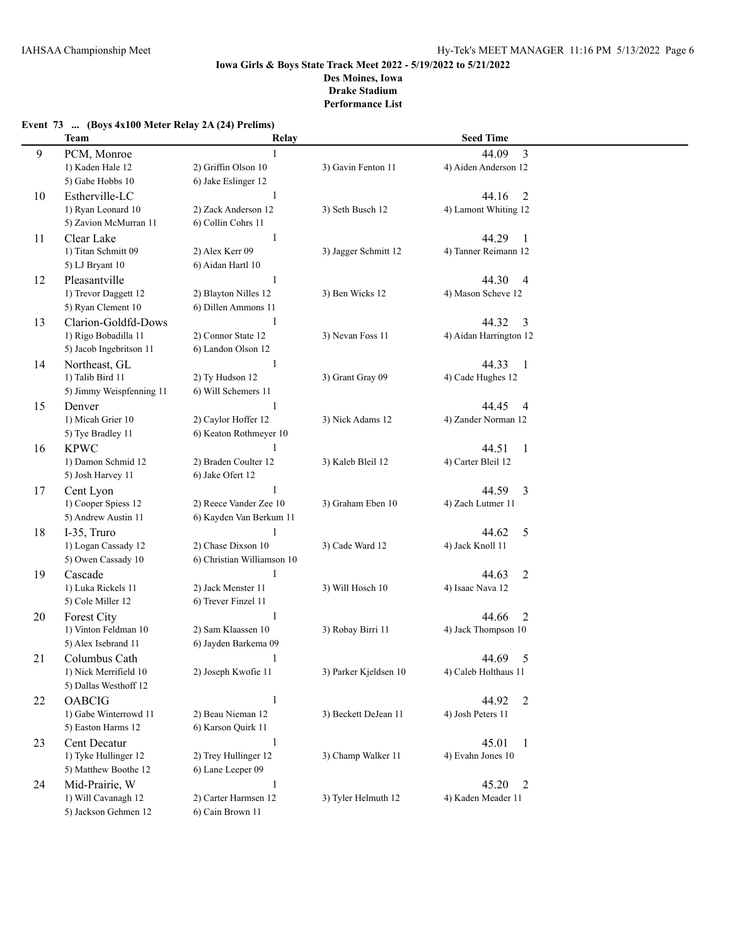|    | Team                                      | Relay                      |                       | <b>Seed Time</b>        |
|----|-------------------------------------------|----------------------------|-----------------------|-------------------------|
| 9  | PCM, Monroe                               | $\mathbf{1}$               |                       | 3<br>44.09              |
|    | 1) Kaden Hale 12                          | 2) Griffin Olson 10        | 3) Gavin Fenton 11    | 4) Aiden Anderson 12    |
|    | 5) Gabe Hobbs 10                          | 6) Jake Eslinger 12        |                       |                         |
| 10 | Estherville-LC                            | $\mathbf{1}$               |                       | 44.16<br>2              |
|    | 1) Ryan Leonard 10                        | 2) Zack Anderson 12        | 3) Seth Busch 12      | 4) Lamont Whiting 12    |
|    | 5) Zavion McMurran 11                     | 6) Collin Cohrs 11         |                       |                         |
| 11 | Clear Lake                                | 1                          |                       | 44.29<br>$\mathbf{1}$   |
|    | 1) Titan Schmitt 09                       | 2) Alex Kerr 09            | 3) Jagger Schmitt 12  | 4) Tanner Reimann 12    |
|    | 5) LJ Bryant 10                           | 6) Aidan Hartl 10          |                       |                         |
|    |                                           |                            |                       |                         |
| 12 | Pleasantville                             | 1                          |                       | 44.30<br>$\overline{4}$ |
|    | 1) Trevor Daggett 12                      | 2) Blayton Nilles 12       | 3) Ben Wicks 12       | 4) Mason Scheve 12      |
|    | 5) Ryan Clement 10                        | 6) Dillen Ammons 11        |                       |                         |
| 13 | Clarion-Goldfd-Dows                       | 1                          |                       | 44.32<br>3              |
|    | 1) Rigo Bobadilla 11                      | 2) Connor State 12         | 3) Nevan Foss 11      | 4) Aidan Harrington 12  |
|    | 5) Jacob Ingebritson 11                   | 6) Landon Olson 12         |                       |                         |
| 14 | Northeast, GL                             | 1                          |                       | 44.33<br>$\overline{1}$ |
|    | 1) Talib Bird 11                          | 2) Ty Hudson 12            | 3) Grant Gray 09      | 4) Cade Hughes 12       |
|    | 5) Jimmy Weispfenning 11                  | 6) Will Schemers 11        |                       |                         |
| 15 | Denver                                    | 1                          |                       | 44.45<br>$\overline{4}$ |
|    | 1) Micah Grier 10                         | 2) Caylor Hoffer 12        | 3) Nick Adams 12      | 4) Zander Norman 12     |
|    | 5) Tye Bradley 11                         | 6) Keaton Rothmeyer 10     |                       |                         |
| 16 | <b>KPWC</b>                               | 1                          |                       | 44.51<br>$\mathbf{1}$   |
|    | 1) Damon Schmid 12                        | 2) Braden Coulter 12       | 3) Kaleb Bleil 12     | 4) Carter Bleil 12      |
|    | 5) Josh Harvey 11                         | 6) Jake Ofert 12           |                       |                         |
| 17 | Cent Lyon                                 | 1                          |                       | 44.59<br>3              |
|    | 1) Cooper Spiess 12                       | 2) Reece Vander Zee 10     | 3) Graham Eben 10     | 4) Zach Lutmer 11       |
|    | 5) Andrew Austin 11                       | 6) Kayden Van Berkum 11    |                       |                         |
| 18 | I-35, Truro                               | $\mathbf{1}$               |                       | 5<br>44.62              |
|    |                                           | 2) Chase Dixson 10         | 3) Cade Ward 12       |                         |
|    | 1) Logan Cassady 12<br>5) Owen Cassady 10 | 6) Christian Williamson 10 |                       | 4) Jack Knoll 11        |
|    |                                           |                            |                       |                         |
| 19 | Cascade                                   | 1                          |                       | 2<br>44.63              |
|    | 1) Luka Rickels 11                        | 2) Jack Menster 11         | 3) Will Hosch 10      | 4) Isaac Nava 12        |
|    | 5) Cole Miller 12                         | 6) Trever Finzel 11        |                       |                         |
| 20 | Forest City                               | 1                          |                       | $\overline{2}$<br>44.66 |
|    | 1) Vinton Feldman 10                      | 2) Sam Klaassen 10         | 3) Robay Birri 11     | 4) Jack Thompson 10     |
|    | 5) Alex Isebrand 11                       | 6) Jayden Barkema 09       |                       |                         |
| 21 | Columbus Cath                             |                            |                       | 44.69<br>5              |
|    | 1) Nick Merrifield 10                     | 2) Joseph Kwofie 11        | 3) Parker Kjeldsen 10 | 4) Caleb Holthaus 11    |
|    | 5) Dallas Westhoff 12                     |                            |                       |                         |
| 22 | <b>OABCIG</b>                             | 1                          |                       | 44.92<br>$\overline{2}$ |
|    | 1) Gabe Winterrowd 11                     | 2) Beau Nieman 12          | 3) Beckett DeJean 11  | 4) Josh Peters 11       |
|    | 5) Easton Harms 12                        | 6) Karson Quirk 11         |                       |                         |
| 23 | Cent Decatur                              | $\mathbf{1}$               |                       | 45.01<br>$\mathbf{1}$   |
|    | 1) Tyke Hullinger 12                      | 2) Trey Hullinger 12       | 3) Champ Walker 11    | 4) Evahn Jones 10       |
|    | 5) Matthew Boothe 12                      | 6) Lane Leeper 09          |                       |                         |
| 24 | Mid-Prairie, W                            | $\mathbf{1}$               |                       | 45.20<br>$\overline{2}$ |
|    | 1) Will Cavanagh 12                       | 2) Carter Harmsen 12       | 3) Tyler Helmuth 12   | 4) Kaden Meader 11      |
|    | 5) Jackson Gehmen 12                      | 6) Cain Brown 11           |                       |                         |
|    |                                           |                            |                       |                         |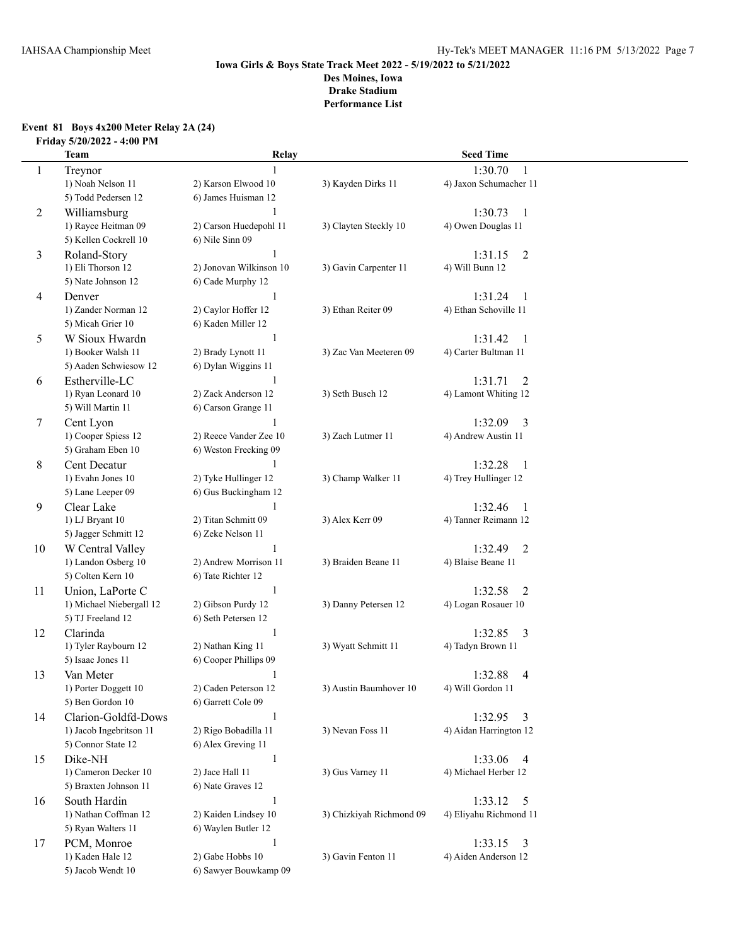### **Event 81 Boys 4x200 Meter Relay 2A (24) Friday 5/20/2022 - 4:00 PM**

|    | <b>Team</b>                             | Relay                                    |                          | <b>Seed Time</b>                     |
|----|-----------------------------------------|------------------------------------------|--------------------------|--------------------------------------|
| 1  | Treynor                                 |                                          |                          | 1:30.70<br>-1                        |
|    | 1) Noah Nelson 11                       | 2) Karson Elwood 10                      | 3) Kayden Dirks 11       | 4) Jaxon Schumacher 11               |
|    | 5) Todd Pedersen 12                     | 6) James Huisman 12                      |                          |                                      |
| 2  | Williamsburg                            | 1                                        |                          | 1:30.73<br>-1                        |
|    | 1) Rayce Heitman 09                     | 2) Carson Huedepohl 11                   | 3) Clayten Steckly 10    | 4) Owen Douglas 11                   |
|    | 5) Kellen Cockrell 10                   | 6) Nile Sinn 09                          |                          |                                      |
| 3  | Roland-Story                            | $\mathbf{1}$                             |                          | $\overline{2}$<br>1:31.15            |
|    | 1) Eli Thorson 12                       | 2) Jonovan Wilkinson 10                  | 3) Gavin Carpenter 11    | 4) Will Bunn 12                      |
|    | 5) Nate Johnson 12                      | 6) Cade Murphy 12                        |                          |                                      |
| 4  | Denver                                  | 1                                        |                          | 1:31.24<br>$\mathbf{1}$              |
|    | 1) Zander Norman 12                     | 2) Caylor Hoffer 12                      | 3) Ethan Reiter 09       | 4) Ethan Schoville 11                |
|    | 5) Micah Grier 10                       | 6) Kaden Miller 12                       |                          |                                      |
| 5  | W Sioux Hwardn                          | 1                                        |                          | 1:31.42<br>$\mathbf{1}$              |
|    | 1) Booker Walsh 11                      | 2) Brady Lynott 11                       | 3) Zac Van Meeteren 09   | 4) Carter Bultman 11                 |
|    | 5) Aaden Schwiesow 12                   | 6) Dylan Wiggins 11                      |                          |                                      |
| 6  | Estherville-LC                          | 1                                        |                          | 1:31.71<br>$\overline{2}$            |
|    | 1) Ryan Leonard 10                      | 2) Zack Anderson 12                      | 3) Seth Busch 12         | 4) Lamont Whiting 12                 |
|    | 5) Will Martin 11                       | 6) Carson Grange 11                      |                          |                                      |
| 7  | Cent Lyon                               |                                          |                          | 1:32.09<br>3                         |
|    | 1) Cooper Spiess 12                     | 2) Reece Vander Zee 10                   | 3) Zach Lutmer 11        | 4) Andrew Austin 11                  |
|    | 5) Graham Eben 10                       | 6) Weston Frecking 09                    |                          |                                      |
| 8  | <b>Cent Decatur</b>                     | 1                                        |                          | 1:32.28<br>-1                        |
|    | 1) Evahn Jones 10                       | 2) Tyke Hullinger 12                     | 3) Champ Walker 11       | 4) Trey Hullinger 12                 |
|    | 5) Lane Leeper 09                       | 6) Gus Buckingham 12                     |                          |                                      |
| 9  | Clear Lake                              | 1                                        |                          | 1:32.46<br>1                         |
|    | 1) LJ Bryant 10<br>5) Jagger Schmitt 12 | 2) Titan Schmitt 09<br>6) Zeke Nelson 11 | 3) Alex Kerr 09          | 4) Tanner Reimann 12                 |
|    | W Central Valley                        | 1                                        |                          | 1:32.49                              |
| 10 | 1) Landon Osberg 10                     | 2) Andrew Morrison 11                    | 3) Braiden Beane 11      | $\overline{2}$<br>4) Blaise Beane 11 |
|    | 5) Colten Kern 10                       | 6) Tate Richter 12                       |                          |                                      |
| 11 | Union, LaPorte C                        | $\mathbf{1}$                             |                          | 1:32.58<br>2                         |
|    | 1) Michael Niebergall 12                | 2) Gibson Purdy 12                       | 3) Danny Petersen 12     | 4) Logan Rosauer 10                  |
|    | 5) TJ Freeland 12                       | 6) Seth Petersen 12                      |                          |                                      |
| 12 | Clarinda                                | $\mathbf{1}$                             |                          | 1:32.85<br>3                         |
|    | 1) Tyler Raybourn 12                    | 2) Nathan King 11                        | 3) Wyatt Schmitt 11      | 4) Tadyn Brown 11                    |
|    | 5) Isaac Jones 11                       | 6) Cooper Phillips 09                    |                          |                                      |
| 13 | Van Meter                               | 1                                        |                          | 1:32.88<br>$\overline{4}$            |
|    | 1) Porter Doggett 10                    | 2) Caden Peterson 12                     | 3) Austin Baumhover 10   | 4) Will Gordon 11                    |
|    | 5) Ben Gordon 10                        | 6) Garrett Cole 09                       |                          |                                      |
| 14 | Clarion-Goldfd-Dows                     | 1                                        |                          | 1:32.95<br>3                         |
|    | 1) Jacob Ingebritson 11                 | 2) Rigo Bobadilla 11                     | 3) Nevan Foss 11         | 4) Aidan Harrington 12               |
|    | 5) Connor State 12                      | 6) Alex Greving 11                       |                          |                                      |
| 15 | Dike-NH                                 | 1                                        |                          | 1:33.06<br>4                         |
|    | 1) Cameron Decker 10                    | 2) Jace Hall 11                          | 3) Gus Varney 11         | 4) Michael Herber 12                 |
|    | 5) Braxten Johnson 11                   | 6) Nate Graves 12                        |                          |                                      |
| 16 | South Hardin                            | 1                                        |                          | 1:33.12<br>5                         |
|    | 1) Nathan Coffman 12                    | 2) Kaiden Lindsey 10                     | 3) Chizkiyah Richmond 09 | 4) Eliyahu Richmond 11               |
|    | 5) Ryan Walters 11                      | 6) Waylen Butler 12                      |                          |                                      |
| 17 | PCM, Monroe                             | 1                                        |                          | 1:33.15<br>3                         |
|    | 1) Kaden Hale 12                        | 2) Gabe Hobbs 10                         | 3) Gavin Fenton 11       | 4) Aiden Anderson 12                 |
|    | 5) Jacob Wendt 10                       | 6) Sawyer Bouwkamp 09                    |                          |                                      |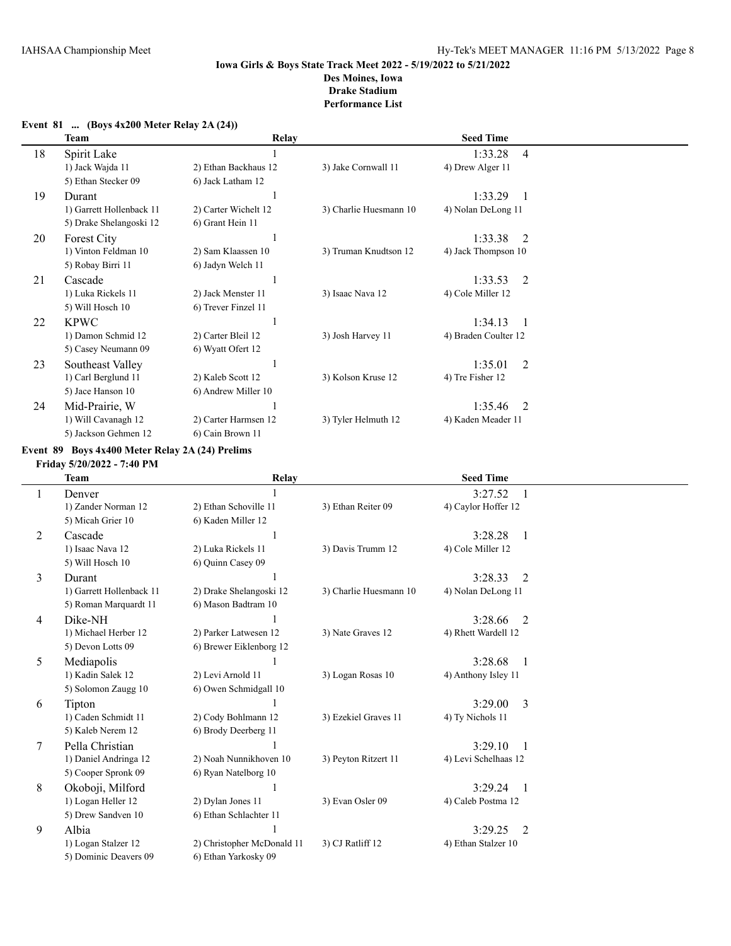|    | Team                     | Relay                |                        | <b>Seed Time</b>          |  |
|----|--------------------------|----------------------|------------------------|---------------------------|--|
| 18 | Spirit Lake              |                      |                        | 1:33.28<br>$\overline{4}$ |  |
|    | 1) Jack Wajda 11         | 2) Ethan Backhaus 12 | 3) Jake Cornwall 11    | 4) Drew Alger 11          |  |
|    | 5) Ethan Stecker 09      | 6) Jack Latham 12    |                        |                           |  |
| 19 | Durant                   |                      |                        | 1:33.29                   |  |
|    | 1) Garrett Hollenback 11 | 2) Carter Wichelt 12 | 3) Charlie Huesmann 10 | 4) Nolan DeLong 11        |  |
|    | 5) Drake Shelangoski 12  | 6) Grant Hein 11     |                        |                           |  |
| 20 | Forest City              |                      |                        | 1:33.38<br>2              |  |
|    | 1) Vinton Feldman 10     | 2) Sam Klaassen 10   | 3) Truman Knudtson 12  | 4) Jack Thompson 10       |  |
|    | 5) Robay Birri 11        | 6) Jadyn Welch 11    |                        |                           |  |
| 21 | Cascade                  |                      |                        | 1:33.53<br>2              |  |
|    | 1) Luka Rickels 11       | 2) Jack Menster 11   | 3) Isaac Nava 12       | 4) Cole Miller 12         |  |
|    | 5) Will Hosch 10         | 6) Trever Finzel 11  |                        |                           |  |
| 22 | <b>KPWC</b>              |                      |                        | 1:34.13<br>$\mathbf{1}$   |  |
|    | 1) Damon Schmid 12       | 2) Carter Bleil 12   | 3) Josh Harvey 11      | 4) Braden Coulter 12      |  |
|    | 5) Casey Neumann 09      | 6) Wyatt Ofert 12    |                        |                           |  |
| 23 | Southeast Valley         |                      |                        | $\mathfrak{D}$<br>1:35.01 |  |
|    | 1) Carl Berglund 11      | 2) Kaleb Scott 12    | 3) Kolson Kruse 12     | 4) Tre Fisher 12          |  |
|    | 5) Jace Hanson 10        | 6) Andrew Miller 10  |                        |                           |  |
| 24 | Mid-Prairie, W           |                      |                        | 1:35.46<br>$\mathfrak{D}$ |  |
|    | 1) Will Cavanagh 12      | 2) Carter Harmsen 12 | 3) Tyler Helmuth 12    | 4) Kaden Meader 11        |  |
|    | 5) Jackson Gehmen 12     | 6) Cain Brown 11     |                        |                           |  |

### **Event 81 ... (Boys 4x200 Meter Relay 2A (24))**

#### **Event 89 Boys 4x400 Meter Relay 2A (24) Prelims**

**Friday 5/20/2022 - 7:40 PM**

|   | <b>Team</b>              | Relay                      |                        | <b>Seed Time</b>     |
|---|--------------------------|----------------------------|------------------------|----------------------|
|   | Denver                   |                            |                        | 3:27.52              |
|   | 1) Zander Norman 12      | 2) Ethan Schoville 11      | 3) Ethan Reiter 09     | 4) Caylor Hoffer 12  |
|   | 5) Micah Grier 10        | 6) Kaden Miller 12         |                        |                      |
| 2 | Cascade                  |                            |                        | 3:28.28<br>-1        |
|   | 1) Isaac Nava 12         | 2) Luka Rickels 11         | 3) Davis Trumm 12      | 4) Cole Miller 12    |
|   | 5) Will Hosch 10         | 6) Ouinn Casey 09          |                        |                      |
| 3 | Durant                   |                            |                        | 3:28.33<br>2         |
|   | 1) Garrett Hollenback 11 | 2) Drake Shelangoski 12    | 3) Charlie Huesmann 10 | 4) Nolan DeLong 11   |
|   | 5) Roman Marquardt 11    | 6) Mason Badtram 10        |                        |                      |
| 4 | Dike-NH                  |                            |                        | 3:28.66<br>2         |
|   | 1) Michael Herber 12     | 2) Parker Latwesen 12      | 3) Nate Graves 12      | 4) Rhett Wardell 12  |
|   | 5) Devon Lotts 09        | 6) Brewer Eiklenborg 12    |                        |                      |
| 5 | Mediapolis               |                            |                        | 3:28.68              |
|   | 1) Kadin Salek 12        | 2) Levi Arnold 11          | 3) Logan Rosas 10      | 4) Anthony Isley 11  |
|   | 5) Solomon Zaugg 10      | 6) Owen Schmidgall 10      |                        |                      |
| 6 | Tipton                   |                            |                        | 3:29.00<br>3         |
|   | 1) Caden Schmidt 11      | 2) Cody Bohlmann 12        | 3) Ezekiel Graves 11   | 4) Ty Nichols 11     |
|   | 5) Kaleb Nerem 12        | 6) Brody Deerberg 11       |                        |                      |
| 7 | Pella Christian          |                            |                        | 3:29.10              |
|   | 1) Daniel Andringa 12    | 2) Noah Nunnikhoven 10     | 3) Peyton Ritzert 11   | 4) Levi Schelhaas 12 |
|   | 5) Cooper Spronk 09      | 6) Ryan Natelborg 10       |                        |                      |
| 8 | Okoboji, Milford         |                            |                        | 3:29.24              |
|   | 1) Logan Heller 12       | 2) Dylan Jones 11          | 3) Evan Osler 09       | 4) Caleb Postma 12   |
|   | 5) Drew Sandven 10       | 6) Ethan Schlachter 11     |                        |                      |
| 9 | Albia                    |                            |                        | 3:29.25<br>2         |
|   | 1) Logan Stalzer 12      | 2) Christopher McDonald 11 | 3) CJ Ratliff 12       | 4) Ethan Stalzer 10  |
|   | 5) Dominic Deavers 09    | 6) Ethan Yarkosky 09       |                        |                      |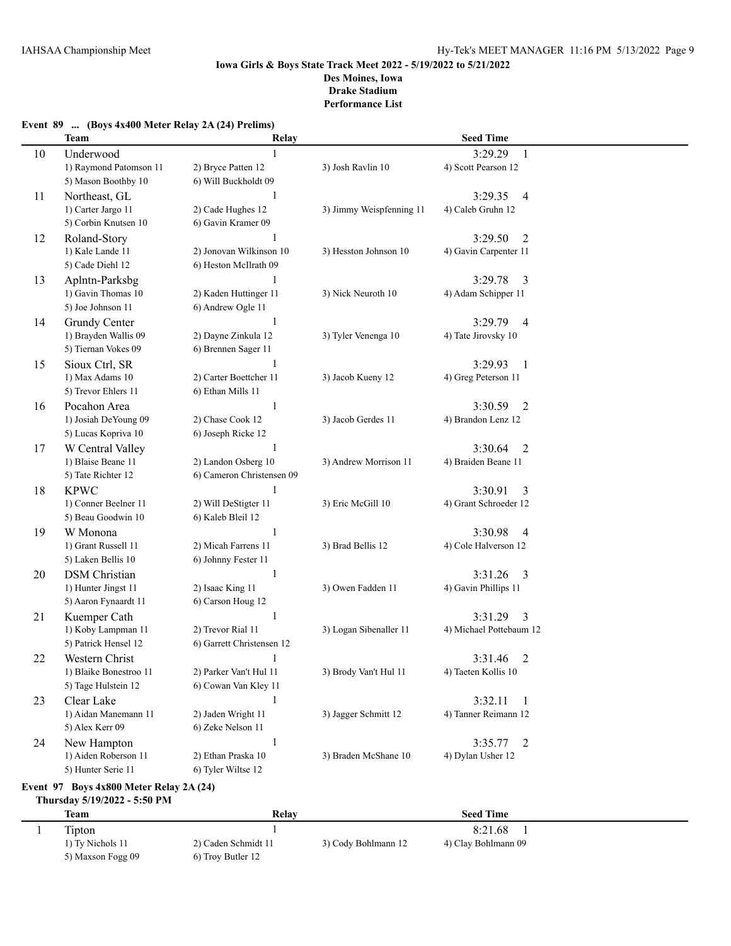| Event 89  (Boys 4x400 Meter Relay 2A (24) Prelims) |  |  |  |  |  |  |  |  |  |  |
|----------------------------------------------------|--|--|--|--|--|--|--|--|--|--|
|----------------------------------------------------|--|--|--|--|--|--|--|--|--|--|

|    | <b>Team</b>            | Relay                     |                          | <b>Seed Time</b>          |  |
|----|------------------------|---------------------------|--------------------------|---------------------------|--|
| 10 | Underwood              | $\mathbf{1}$              |                          | 3:29.29<br>$\mathbf{1}$   |  |
|    | 1) Raymond Patomson 11 | 2) Bryce Patten 12        | 3) Josh Ravlin 10        | 4) Scott Pearson 12       |  |
|    | 5) Mason Boothby 10    | 6) Will Buckholdt 09      |                          |                           |  |
| 11 | Northeast, GL          | $\mathbf{1}$              |                          | 3:29.35<br>$\overline{4}$ |  |
|    | 1) Carter Jargo 11     | 2) Cade Hughes 12         | 3) Jimmy Weispfenning 11 | 4) Caleb Gruhn 12         |  |
|    | 5) Corbin Knutsen 10   | 6) Gavin Kramer 09        |                          |                           |  |
| 12 | Roland-Story           |                           |                          | 3:29.50<br>$\overline{2}$ |  |
|    | 1) Kale Lande 11       | 2) Jonovan Wilkinson 10   | 3) Hesston Johnson 10    | 4) Gavin Carpenter 11     |  |
|    | 5) Cade Diehl 12       | 6) Heston McIlrath 09     |                          |                           |  |
| 13 | Aplntn-Parksbg         | 1                         |                          | 3:29.78<br>3              |  |
|    | 1) Gavin Thomas 10     | 2) Kaden Huttinger 11     | 3) Nick Neuroth 10       | 4) Adam Schipper 11       |  |
|    | 5) Joe Johnson 11      | 6) Andrew Ogle 11         |                          |                           |  |
| 14 | Grundy Center          | 1                         |                          | 3:29.79<br>$\overline{4}$ |  |
|    | 1) Brayden Wallis 09   | 2) Dayne Zinkula 12       | 3) Tyler Venenga 10      | 4) Tate Jirovsky 10       |  |
|    | 5) Tiernan Vokes 09    | 6) Brennen Sager 11       |                          |                           |  |
| 15 | Sioux Ctrl, SR         | 1                         |                          | 3:29.93<br>1              |  |
|    | 1) Max Adams 10        | 2) Carter Boettcher 11    | 3) Jacob Kueny 12        | 4) Greg Peterson 11       |  |
|    | 5) Trevor Ehlers 11    | 6) Ethan Mills 11         |                          |                           |  |
| 16 | Pocahon Area           | $\mathbf{1}$              |                          | 3:30.59<br>2              |  |
|    | 1) Josiah DeYoung 09   | 2) Chase Cook 12          | 3) Jacob Gerdes 11       | 4) Brandon Lenz 12        |  |
|    | 5) Lucas Kopriva 10    | 6) Joseph Ricke 12        |                          |                           |  |
| 17 | W Central Valley       | $\mathbf{1}$              |                          | 3:30.64<br>2              |  |
|    | 1) Blaise Beane 11     | 2) Landon Osberg 10       | 3) Andrew Morrison 11    | 4) Braiden Beane 11       |  |
|    | 5) Tate Richter 12     | 6) Cameron Christensen 09 |                          |                           |  |
| 18 | <b>KPWC</b>            | $\mathbf{1}$              |                          | 3:30.91<br>3              |  |
|    | 1) Conner Beelner 11   | 2) Will DeStigter 11      | 3) Eric McGill 10        | 4) Grant Schroeder 12     |  |
|    | 5) Beau Goodwin 10     | 6) Kaleb Bleil 12         |                          |                           |  |
| 19 | W Monona               | 1                         |                          | 3:30.98<br>$\overline{4}$ |  |
|    | 1) Grant Russell 11    | 2) Micah Farrens 11       | 3) Brad Bellis 12        | 4) Cole Halverson 12      |  |
|    | 5) Laken Bellis 10     | 6) Johnny Fester 11       |                          |                           |  |
| 20 | <b>DSM</b> Christian   | 1                         |                          | 3:31.26<br>3              |  |
|    | 1) Hunter Jingst 11    | 2) Isaac King 11          | 3) Owen Fadden 11        | 4) Gavin Phillips 11      |  |
|    | 5) Aaron Fynaardt 11   | 6) Carson Houg 12         |                          |                           |  |
| 21 | Kuemper Cath           | 1                         |                          | 3:31.29<br>3              |  |
|    | 1) Koby Lampman 11     | 2) Trevor Rial 11         | 3) Logan Sibenaller 11   | 4) Michael Pottebaum 12   |  |
|    | 5) Patrick Hensel 12   | 6) Garrett Christensen 12 |                          |                           |  |
| 22 | Western Christ         |                           |                          | 2<br>3:31.46              |  |
|    | 1) Blaike Bonestroo 11 | 2) Parker Van't Hul 11    | 3) Brody Van't Hul 11    | 4) Taeten Kollis 10       |  |
|    | 5) Tage Hulstein 12    | 6) Cowan Van Kley 11      |                          |                           |  |
| 23 | Clear Lake             | 1                         |                          | 3:32.11<br>$\mathbf{1}$   |  |
|    | 1) Aidan Manemann 11   | 2) Jaden Wright 11        | 3) Jagger Schmitt 12     | 4) Tanner Reimann 12      |  |
|    | 5) Alex Kerr 09        | 6) Zeke Nelson 11         |                          |                           |  |
| 24 | New Hampton            | $\mathbf{1}$              |                          | 3:35.77<br>2              |  |
|    | 1) Aiden Roberson 11   | 2) Ethan Praska 10        | 3) Braden McShane 10     | 4) Dylan Usher 12         |  |
|    | 5) Hunter Serie 11     | 6) Tyler Wiltse 12        |                          |                           |  |
|    |                        |                           |                          |                           |  |

#### **Event 97 Boys 4x800 Meter Relay 2A (24) Thursday 5/19/2022 - 5:50 PM**

| <b>Team</b>       | Relav               |                     | <b>Seed Time</b>    |
|-------------------|---------------------|---------------------|---------------------|
| Tipton            |                     |                     | 8:21.68             |
| 1) Ty Nichols 11  | 2) Caden Schmidt 11 | 3) Cody Bohlmann 12 | 4) Clay Bohlmann 09 |
| 5) Maxson Fogg 09 | 6) Troy Butler 12   |                     |                     |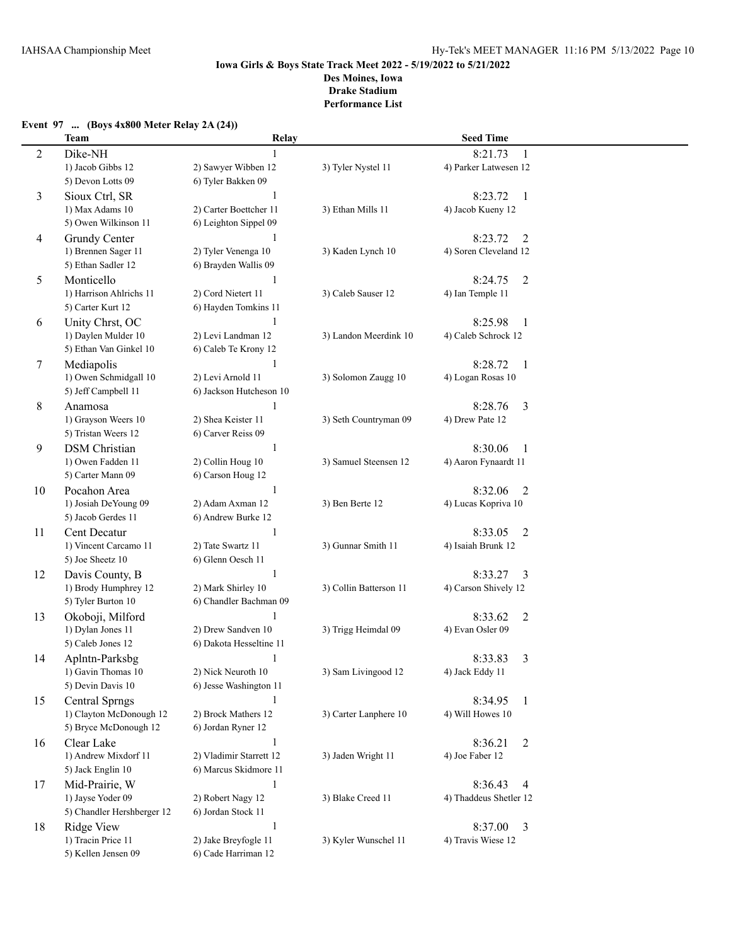# **Event 97 ... (Boys 4x800 Meter Relay 2A (24))**

|                | <b>Team</b>                                      | Relay                                        |                        | <b>Seed Time</b>                              |  |
|----------------|--------------------------------------------------|----------------------------------------------|------------------------|-----------------------------------------------|--|
| $\overline{2}$ | Dike-NH                                          |                                              |                        | 8:21.73                                       |  |
|                | 1) Jacob Gibbs 12                                | 2) Sawyer Wibben 12                          | 3) Tyler Nystel 11     | 4) Parker Latwesen 12                         |  |
|                | 5) Devon Lotts 09                                | 6) Tyler Bakken 09                           |                        |                                               |  |
| 3              | Sioux Ctrl, SR                                   | 1                                            |                        | 8:23.72<br>$\mathbf{1}$                       |  |
|                | 1) Max Adams 10                                  | 2) Carter Boettcher 11                       | 3) Ethan Mills 11      | 4) Jacob Kueny 12                             |  |
|                | 5) Owen Wilkinson 11                             | 6) Leighton Sippel 09                        |                        |                                               |  |
| 4              | Grundy Center                                    | 1                                            |                        | 8:23.72<br>2                                  |  |
|                | 1) Brennen Sager 11                              | 2) Tyler Venenga 10                          | 3) Kaden Lynch 10      | 4) Soren Cleveland 12                         |  |
|                | 5) Ethan Sadler 12                               | 6) Brayden Wallis 09                         |                        |                                               |  |
| 5              | Monticello                                       |                                              |                        | 8:24.75<br>$\overline{2}$                     |  |
|                | 1) Harrison Ahlrichs 11                          | 2) Cord Nietert 11                           | 3) Caleb Sauser 12     | 4) Ian Temple 11                              |  |
|                | 5) Carter Kurt 12                                | 6) Hayden Tomkins 11                         |                        |                                               |  |
| 6              | Unity Chrst, OC                                  |                                              |                        | 8:25.98<br>-1                                 |  |
|                | 1) Daylen Mulder 10                              | 2) Levi Landman 12                           | 3) Landon Meerdink 10  | 4) Caleb Schrock 12                           |  |
|                | 5) Ethan Van Ginkel 10                           | 6) Caleb Te Krony 12                         |                        |                                               |  |
| 7              | Mediapolis                                       | 1                                            |                        | 8:28.72<br>-1                                 |  |
|                | 1) Owen Schmidgall 10                            | 2) Levi Arnold 11                            | 3) Solomon Zaugg 10    | 4) Logan Rosas 10                             |  |
|                | 5) Jeff Campbell 11                              | 6) Jackson Hutcheson 10                      |                        |                                               |  |
|                | Anamosa                                          | 1                                            |                        | 8:28.76                                       |  |
| 8              | 1) Grayson Weers 10                              | 2) Shea Keister 11                           | 3) Seth Countryman 09  | 3<br>4) Drew Pate 12                          |  |
|                | 5) Tristan Weers 12                              | 6) Carver Reiss 09                           |                        |                                               |  |
|                | <b>DSM</b> Christian                             | 1                                            |                        | 8:30.06                                       |  |
| 9              | 1) Owen Fadden 11                                | 2) Collin Houg 10                            | 3) Samuel Steensen 12  | -1<br>4) Aaron Fynaardt 11                    |  |
|                | 5) Carter Mann 09                                | 6) Carson Houg 12                            |                        |                                               |  |
|                | Pocahon Area                                     | 1                                            |                        | 8:32.06<br>$\overline{2}$                     |  |
| 10             | 1) Josiah DeYoung 09                             | 2) Adam Axman 12                             | 3) Ben Berte 12        | 4) Lucas Kopriva 10                           |  |
|                | 5) Jacob Gerdes 11                               | 6) Andrew Burke 12                           |                        |                                               |  |
|                |                                                  |                                              |                        |                                               |  |
| 11             | Cent Decatur<br>1) Vincent Carcamo 11            | $\mathbf{1}$                                 | 3) Gunnar Smith 11     | 8:33.05<br>2<br>4) Isaiah Brunk 12            |  |
|                | 5) Joe Sheetz 10                                 | 2) Tate Swartz 11<br>6) Glenn Oesch 11       |                        |                                               |  |
|                |                                                  | 1                                            |                        |                                               |  |
| 12             | Davis County, B                                  | 2) Mark Shirley 10                           | 3) Collin Batterson 11 | 8:33.27<br>3<br>4) Carson Shively 12          |  |
|                | 1) Brody Humphrey 12<br>5) Tyler Burton 10       | 6) Chandler Bachman 09                       |                        |                                               |  |
|                |                                                  |                                              |                        |                                               |  |
| 13             | Okoboji, Milford<br>1) Dylan Jones 11            | 2) Drew Sandven 10                           |                        | 8:33.62<br>$\overline{2}$<br>4) Evan Osler 09 |  |
|                | 5) Caleb Jones 12                                | 6) Dakota Hesseltine 11                      | 3) Trigg Heimdal 09    |                                               |  |
|                |                                                  |                                              |                        |                                               |  |
| 14             | Aplntn-Parksbg<br>1) Gavin Thomas 10             | 1                                            | 3) Sam Livingood 12    | 8:33.83<br>3<br>4) Jack Eddy 11               |  |
|                | 5) Devin Davis 10                                | 2) Nick Neuroth 10<br>6) Jesse Washington 11 |                        |                                               |  |
|                |                                                  |                                              |                        |                                               |  |
| 15             | <b>Central Sprngs</b><br>1) Clayton McDonough 12 | 1<br>2) Brock Mathers 12                     |                        | 8:34.95<br>$\mathbf{1}$                       |  |
|                | 5) Bryce McDonough 12                            |                                              | 3) Carter Lanphere 10  | 4) Will Howes 10                              |  |
|                |                                                  | 6) Jordan Ryner 12                           |                        |                                               |  |
| 16             | Clear Lake                                       | 1                                            |                        | 8:36.21<br>$\overline{2}$                     |  |
|                | 1) Andrew Mixdorf 11                             | 2) Vladimir Starrett 12                      | 3) Jaden Wright 11     | 4) Joe Faber 12                               |  |
|                | 5) Jack Englin 10                                | 6) Marcus Skidmore 11                        |                        |                                               |  |
| 17             | Mid-Prairie, W                                   | $\mathbf{1}$                                 |                        | 8:36.43<br>$\overline{4}$                     |  |
|                | 1) Jayse Yoder 09                                | 2) Robert Nagy 12                            | 3) Blake Creed 11      | 4) Thaddeus Shetler 12                        |  |
|                | 5) Chandler Hershberger 12                       | 6) Jordan Stock 11                           |                        |                                               |  |
| 18             | Ridge View                                       | 1                                            |                        | 8:37.00<br>3                                  |  |
|                | 1) Tracin Price 11                               | 2) Jake Breyfogle 11                         | 3) Kyler Wunschel 11   | 4) Travis Wiese 12                            |  |
|                | 5) Kellen Jensen 09                              | 6) Cade Harriman 12                          |                        |                                               |  |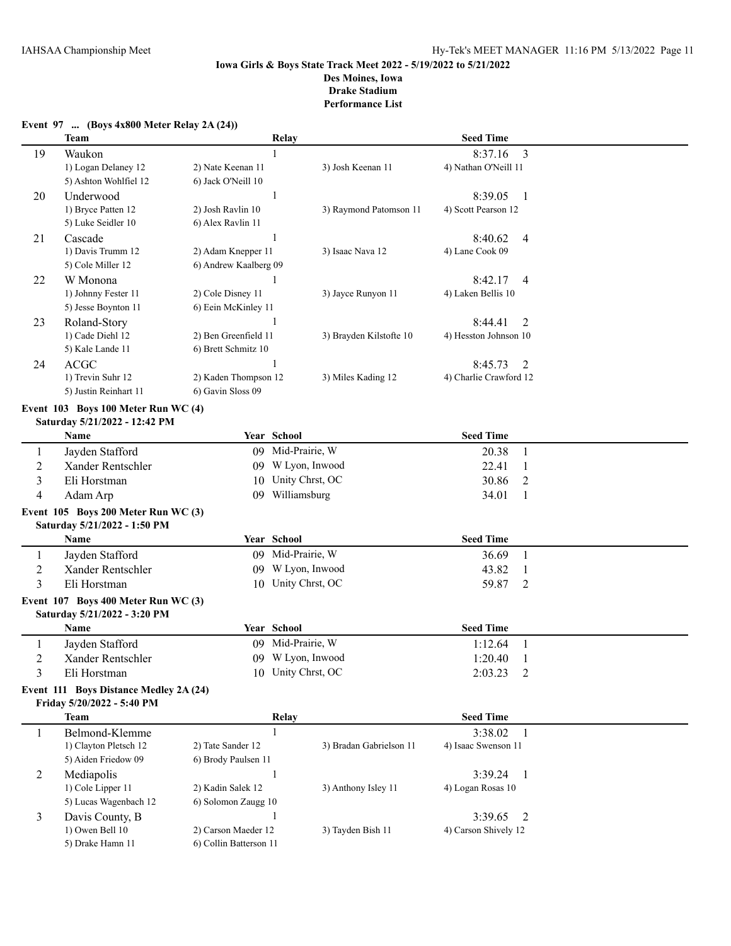|                | $\ldots$ ( $Doys$ radio meter rectary $\blacksquare$<br>Team         | Relay                  |                         | <b>Seed Time</b>                      |  |
|----------------|----------------------------------------------------------------------|------------------------|-------------------------|---------------------------------------|--|
| 19             | Waukon                                                               |                        |                         | 8:37.16<br>3                          |  |
|                | 1) Logan Delaney 12                                                  | 2) Nate Keenan 11      | 3) Josh Keenan 11       | 4) Nathan O'Neill 11                  |  |
|                | 5) Ashton Wohlfiel 12                                                | 6) Jack O'Neill 10     |                         |                                       |  |
| 20             | Underwood                                                            |                        |                         | 8:39.05<br>-1                         |  |
|                | 1) Bryce Patten 12                                                   | 2) Josh Ravlin 10      | 3) Raymond Patomson 11  | 4) Scott Pearson 12                   |  |
|                | 5) Luke Seidler 10                                                   | 6) Alex Ravlin 11      |                         |                                       |  |
| 21             | Cascade                                                              |                        |                         | 8:40.62<br>4                          |  |
|                | 1) Davis Trumm 12                                                    | 2) Adam Knepper 11     | 3) Isaac Nava 12        | 4) Lane Cook 09                       |  |
|                | 5) Cole Miller 12                                                    | 6) Andrew Kaalberg 09  |                         |                                       |  |
| 22             | W Monona                                                             |                        |                         | 8:42.17<br>4                          |  |
|                | 1) Johnny Fester 11                                                  | 2) Cole Disney 11      | 3) Jayce Runyon 11      | 4) Laken Bellis 10                    |  |
|                | 5) Jesse Boynton 11                                                  | 6) Eein McKinley 11    |                         |                                       |  |
|                | Roland-Story                                                         |                        |                         |                                       |  |
| 23             | 1) Cade Diehl 12                                                     | 2) Ben Greenfield 11   | 3) Brayden Kilstofte 10 | 8:44.41<br>2<br>4) Hesston Johnson 10 |  |
|                | 5) Kale Lande 11                                                     | 6) Brett Schmitz 10    |                         |                                       |  |
|                | <b>ACGC</b>                                                          | 1                      |                         | 8:45.73                               |  |
| 24             | 1) Trevin Suhr 12                                                    | 2) Kaden Thompson 12   | 3) Miles Kading 12      | 2<br>4) Charlie Crawford 12           |  |
|                | 5) Justin Reinhart 11                                                | 6) Gavin Sloss 09      |                         |                                       |  |
|                |                                                                      |                        |                         |                                       |  |
|                | Event 103 Boys 100 Meter Run WC (4)                                  |                        |                         |                                       |  |
|                | Saturday 5/21/2022 - 12:42 PM                                        |                        |                         |                                       |  |
|                | Name                                                                 | Year School            |                         | <b>Seed Time</b>                      |  |
| 1              | Jayden Stafford                                                      |                        | 09 Mid-Prairie, W       | 20.38<br>1                            |  |
| $\overline{c}$ | Xander Rentschler                                                    |                        | 09 W Lyon, Inwood       | 22.41<br>1                            |  |
| 3              | Eli Horstman                                                         | 10                     | Unity Chrst, OC         | 30.86<br>2                            |  |
| 4              | Adam Arp                                                             |                        | 09 Williamsburg         | 34.01<br>1                            |  |
|                | Event 105 Boys 200 Meter Run WC (3)                                  |                        |                         |                                       |  |
|                | Saturday 5/21/2022 - 1:50 PM                                         |                        |                         |                                       |  |
|                | Name                                                                 | Year School            |                         | <b>Seed Time</b>                      |  |
| 1              | Jayden Stafford                                                      |                        | 09 Mid-Prairie, W       | 36.69<br>1                            |  |
| $\overline{c}$ | Xander Rentschler                                                    | 09                     | W Lyon, Inwood          | 43.82<br>1                            |  |
| $\overline{3}$ | Eli Horstman                                                         |                        | 10 Unity Chrst, OC      | $\overline{2}$<br>59.87               |  |
|                | Event 107 Boys 400 Meter Run WC (3)                                  |                        |                         |                                       |  |
|                | Saturday 5/21/2022 - 3:20 PM                                         |                        |                         |                                       |  |
|                | Name                                                                 | Year School            |                         | <b>Seed Time</b>                      |  |
| 1              | Jayden Stafford                                                      |                        | 09 Mid-Prairie, W       | 1:12.64<br>$\mathbf{1}$               |  |
| $\overline{c}$ | Xander Rentschler                                                    |                        | 09 W Lyon, Inwood       | 1:20.40<br>-1                         |  |
| 3              | Eli Horstman                                                         |                        | 10 Unity Chrst, OC      | $\overline{2}$<br>2:03.23             |  |
|                |                                                                      |                        |                         |                                       |  |
|                | Event 111 Boys Distance Medley 2A (24)<br>Friday 5/20/2022 - 5:40 PM |                        |                         |                                       |  |
|                | <b>Team</b>                                                          |                        |                         | <b>Seed Time</b>                      |  |
|                |                                                                      | Relay                  |                         |                                       |  |
| 1              | Belmond-Klemme                                                       | $\mathbf{1}$           |                         | 3:38.02<br>-1                         |  |
|                | 1) Clayton Pletsch 12                                                | 2) Tate Sander 12      | 3) Bradan Gabrielson 11 | 4) Isaac Swenson 11                   |  |
|                | 5) Aiden Friedow 09                                                  | 6) Brody Paulsen 11    |                         |                                       |  |
| $\overline{c}$ | Mediapolis                                                           | 1                      |                         | 3:39.24<br>-1                         |  |
|                | 1) Cole Lipper 11                                                    | 2) Kadin Salek 12      | 3) Anthony Isley 11     | 4) Logan Rosas 10                     |  |
|                | 5) Lucas Wagenbach 12                                                | 6) Solomon Zaugg 10    |                         |                                       |  |
| 3              | Davis County, B                                                      | 1                      |                         | 3:39.65<br>2                          |  |
|                | 1) Owen Bell 10                                                      | 2) Carson Maeder 12    | 3) Tayden Bish 11       | 4) Carson Shively 12                  |  |
|                | 5) Drake Hamn 11                                                     | 6) Collin Batterson 11 |                         |                                       |  |

#### **Event 97 ... (Boys 4x800 Meter Relay 2A (24))**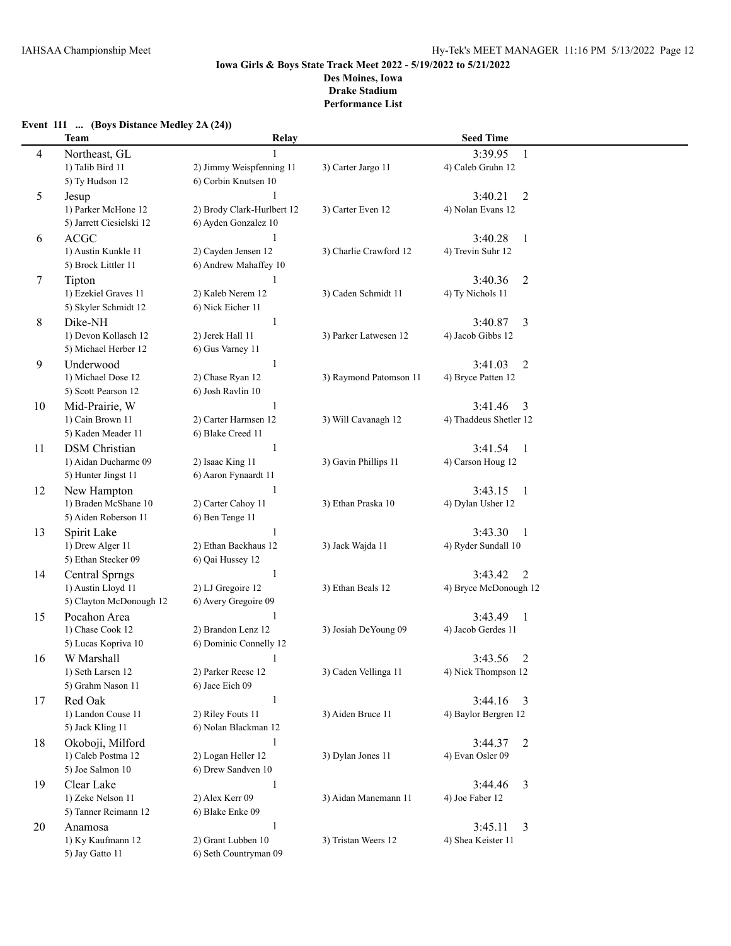## **Event 111 ... (Boys Distance Medley 2A (24)) Team Relay Seed Time** 4 Northeast, GL 1 3:39.95 1 1) Talib Bird 11 2) Jimmy Weispfenning 11 3) Carter Jargo 11 4) Caleb Gruhn 12 5) Ty Hudson 12 6) Corbin Knutsen 10 5 Jesup 1 3:40.21 2 1) Parker McHone 12 2) Brody Clark-Hurlbert 12 3) Carter Even 12 4) Nolan Evans 12 5) Jarrett Ciesielski 12 6) Ayden Gonzalez 10 6 ACGC 1 3:40.28 1 1) Austin Kunkle 11 2) Cayden Jensen 12 3) Charlie Crawford 12 4) Trevin Suhr 12 5) Brock Littler 11 6) Andrew Mahaffey 10 7 Tipton 1 3:40.36 2 1) Ezekiel Graves 11 2) Kaleb Nerem 12 3) Caden Schmidt 11 4) Ty Nichols 11 5) Skyler Schmidt 12 6) Nick Eicher 11 8 Dike-NH 1 3:40.87 3 1) Devon Kollasch 12 2) Jerek Hall 11 3) Parker Latwesen 12 4) Jacob Gibbs 12 5) Michael Herber 12 6) Gus Varney 11 9 Underwood 1 3:41.03 2 1) Michael Dose 12 2) Chase Ryan 12 3) Raymond Patomson 11 4) Bryce Patten 12 5) Scott Pearson 12 6) Josh Ravlin 10 10 Mid-Prairie, W 1 3:41.46 3 1) Cain Brown 11 2) Carter Harmsen 12 3) Will Cavanagh 12 4) Thaddeus Shetler 12 5) Kaden Meader 11 6) Blake Creed 11 11 DSM Christian 1 3:41.54 1 1) Aidan Ducharme 09 2) Isaac King 11 3) Gavin Phillips 11 4) Carson Houg 12 5) Hunter Jingst 11 6) Aaron Fynaardt 11 12 New Hampton 1 3:43.15 1 1) Braden McShane 10 2) Carter Cahoy 11 3) Ethan Praska 10 4) Dylan Usher 12 5) Aiden Roberson 11 6) Ben Tenge 11 13 Spirit Lake 1 3:43.30 1 1) Drew Alger 11 2) Ethan Backhaus 12 3) Jack Wajda 11 4) Ryder Sundall 10 5) Ethan Stecker 09 6) Qai Hussey 12 14 Central Sprngs 1 3:43.42 2 1) Austin Lloyd 11 2) LJ Gregoire 12 3) Ethan Beals 12 4) Bryce McDonough 12 5) Clayton McDonough 12 6) Avery Gregoire 09 15 Pocahon Area 1 3:43.49 1 1) Chase Cook 12 2) Brandon Lenz 12 3) Josiah DeYoung 09 4) Jacob Gerdes 11 5) Lucas Kopriva 10 6) Dominic Connelly 12 16 W Marshall 1 3:43.56 2 1) Seth Larsen 12 2) Parker Reese 12 3) Caden Vellinga 11 4) Nick Thompson 12 5) Grahm Nason 11 6) Jace Eich 09 17 Red Oak 1 3:44.16 3 1) Landon Couse 11 2) Riley Fouts 11 3) Aiden Bruce 11 4) Baylor Bergren 12 5) Jack Kling 11 6) Nolan Blackman 12 18 Okoboji, Milford 1 3:44.37 2 1) Caleb Postma 12 2) Logan Heller 12 3) Dylan Jones 11 4) Evan Osler 09 5) Joe Salmon 10 6) Drew Sandven 10 19 Clear Lake 1 3:44.46 3 1) Zeke Nelson 11 2) Alex Kerr 09 3) Aidan Manemann 11 4) Joe Faber 12 5) Tanner Reimann 12 6) Blake Enke 09 20 Anamosa 1 3:45.11 3 1) Ky Kaufmann 12 2) Grant Lubben 10 3) Tristan Weers 12 4) Shea Keister 11 5) Jay Gatto 11 6) Seth Countryman 09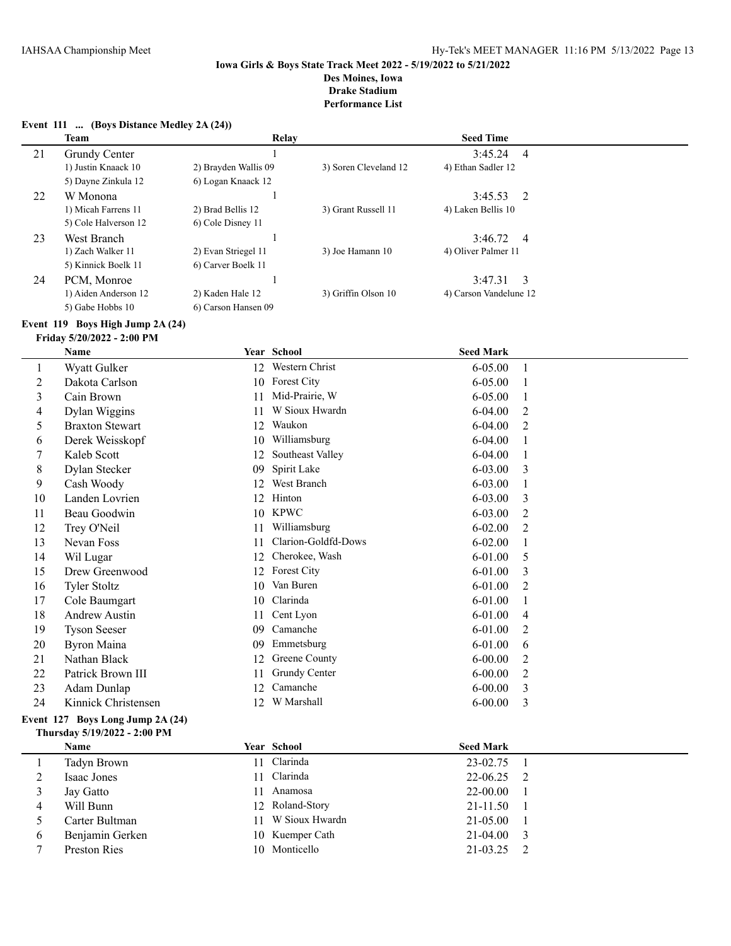|                          | Event 111  (Boys Distance Medley 2A (24)) |                      |                       |                        |                |
|--------------------------|-------------------------------------------|----------------------|-----------------------|------------------------|----------------|
|                          | <b>Team</b>                               |                      | Relay                 | <b>Seed Time</b>       |                |
| 21                       | Grundy Center                             |                      |                       | 3:45.24                | $\overline{4}$ |
|                          | 1) Justin Knaack 10                       | 2) Brayden Wallis 09 | 3) Soren Cleveland 12 | 4) Ethan Sadler 12     |                |
|                          | 5) Dayne Zinkula 12                       | 6) Logan Knaack 12   |                       |                        |                |
| 22                       | W Monona                                  |                      | $\mathbf{1}$          | 3:45.53                | 2              |
|                          | 1) Micah Farrens 11                       | 2) Brad Bellis 12    | 3) Grant Russell 11   | 4) Laken Bellis 10     |                |
|                          | 5) Cole Halverson 12                      | 6) Cole Disney 11    |                       |                        |                |
| 23                       | West Branch                               |                      | $\mathbf{1}$          | 3:46.72                | $\overline{4}$ |
|                          | 1) Zach Walker 11                         | 2) Evan Striegel 11  | 3) Joe Hamann 10      | 4) Oliver Palmer 11    |                |
|                          | 5) Kinnick Boelk 11                       | 6) Carver Boelk 11   |                       |                        |                |
| 24                       | PCM, Monroe                               |                      | $\mathbf{1}$          | 3:47.31                | 3              |
|                          | 1) Aiden Anderson 12                      | 2) Kaden Hale 12     | 3) Griffin Olson 10   | 4) Carson Vandelune 12 |                |
|                          | 5) Gabe Hobbs 10                          | 6) Carson Hansen 09  |                       |                        |                |
|                          | Event 119 Boys High Jump 2A (24)          |                      |                       |                        |                |
|                          | Friday 5/20/2022 - 2:00 PM                |                      |                       |                        |                |
|                          | Name                                      |                      | Year School           | <b>Seed Mark</b>       |                |
| $\mathbf{1}$             | Wyatt Gulker                              |                      | 12 Western Christ     | 6-05.00                | $\mathbf{1}$   |
| $\overline{2}$           | Dakota Carlson                            |                      | 10 Forest City        | 6-05.00                | 1              |
| $\mathfrak{Z}$           | Cain Brown                                | 11                   | Mid-Prairie, W        | 6-05.00                | 1              |
| $\overline{\mathcal{A}}$ | Dylan Wiggins                             | 11                   | W Sioux Hwardn        | 6-04.00                | $\overline{2}$ |
| 5                        | <b>Braxton Stewart</b>                    | 12                   | Waukon                | 6-04.00                | 2              |
| 6                        | Derek Weisskopf                           | 10                   | Williamsburg          | 6-04.00                | 1              |
| 7                        | Kaleb Scott                               | 12                   | Southeast Valley      | 6-04.00                | 1              |
| 8                        | Dylan Stecker                             | 09                   | Spirit Lake           | 6-03.00                | 3              |
| 9                        | Cash Woody                                | 12                   | West Branch           | 6-03.00                | 1              |
| 10                       | Landen Lovrien                            | 12                   | Hinton                | 6-03.00                | 3              |
| 11                       | Beau Goodwin                              | 10                   | <b>KPWC</b>           | 6-03.00                | $\overline{2}$ |
| 12                       | Trey O'Neil                               | 11                   | Williamsburg          | $6 - 02.00$            | 2              |
| 13                       | Nevan Foss                                | 11                   | Clarion-Goldfd-Dows   | $6 - 02.00$            | 1              |
| 14                       | Wil Lugar                                 | 12                   | Cherokee, Wash        | 6-01.00                | 5              |
| 15                       | Drew Greenwood                            | 12                   | Forest City           | 6-01.00                | 3              |
| 16                       | <b>Tyler Stoltz</b>                       | 10                   | Van Buren             | 6-01.00                | 2              |
| 17                       | Cole Baumgart                             | 10                   | Clarinda              | 6-01.00                | 1              |
| 18                       | <b>Andrew Austin</b>                      | 11                   | Cent Lyon             | 6-01.00                | 4              |
| 19                       | <b>Tyson Seeser</b>                       | 09                   | Camanche              | 6-01.00                | 2              |
| 20                       | <b>Byron Maina</b>                        |                      | 09 Emmetsburg         | $6 - 01.00$            | 6              |
| 21                       | Nathan Black                              |                      | 12 Greene County      | $6 - 00.00$            | 2              |
| 22                       | Patrick Brown III                         | 11                   | Grundy Center         | $6 - 00.00$            | 2              |
| 23                       | Adam Dunlap                               | 12                   | Camanche              | $6 - 00.00$            | 3              |
| 24                       | Kinnick Christensen                       | 12                   | W Marshall            | $6 - 00.00$            | 3              |
|                          | Event 127 Boys Long Jump 2A (24)          |                      |                       |                        |                |
|                          | Thursday 5/19/2022 - 2:00 PM              |                      |                       |                        |                |
|                          | Name                                      |                      | Year School           | <b>Seed Mark</b>       |                |
| $\mathbf{1}$             | <b>Tadyn Brown</b>                        |                      | 11 Clarinda           | 23-02.75               | -1             |
| $\overline{2}$           | <b>Isaac Jones</b>                        | 11                   | Clarinda              | 22-06.25               | 2              |
| 3                        | Jay Gatto                                 | 11                   | Anamosa               | 22-00.00               |                |
| 4                        | Will Bunn                                 | 12                   | Roland-Story          | 21-11.50               |                |
| 5                        | Carter Bultman                            | 11                   | W Sioux Hwardn        | 21-05.00               |                |
| 6                        | Benjamin Gerken                           | 10                   | Kuemper Cath          | 21-04.00               | 3              |
| 7                        | Preston Ries                              |                      | 10 Monticello         | 21-03.25               | 2              |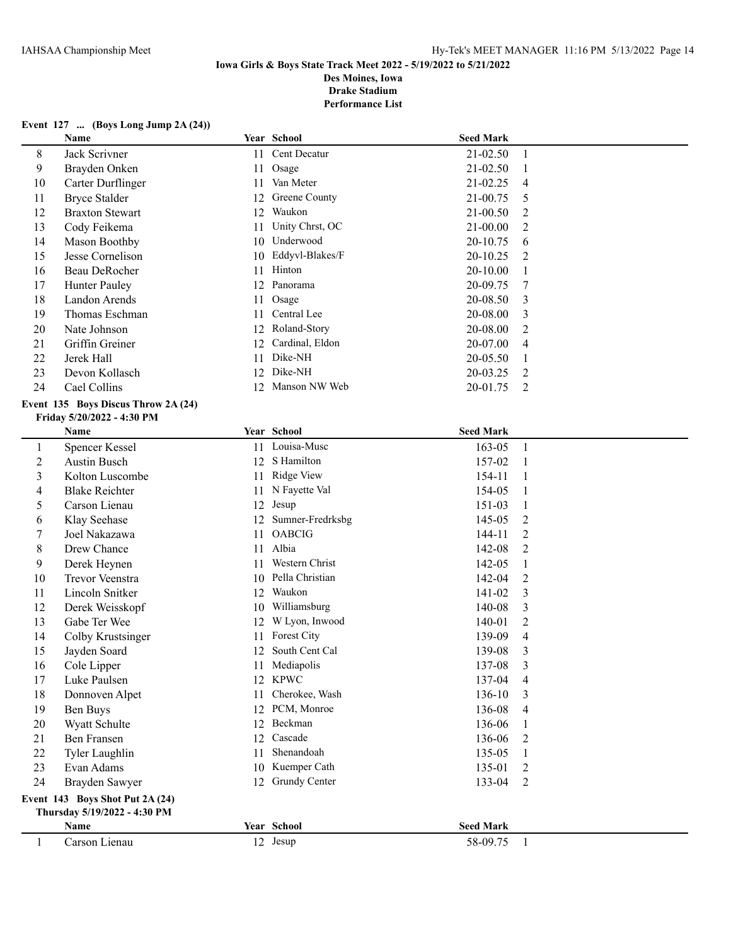## **Iowa Girls & Boys State Track Meet 2022 - 5/19/2022 to 5/21/2022 Des Moines, Iowa**

**Drake Stadium**

**Performance List**

|  |  |  | Event 127  (Boys Long Jump 2A (24)) |  |  |  |
|--|--|--|-------------------------------------|--|--|--|
|--|--|--|-------------------------------------|--|--|--|

|              | Name                                |    | Year School         | <b>Seed Mark</b> |                |
|--------------|-------------------------------------|----|---------------------|------------------|----------------|
| $\,8\,$      | Jack Scrivner                       | 11 | Cent Decatur        | 21-02.50         | $\mathbf{1}$   |
| 9            | Brayden Onken                       | 11 | Osage               | 21-02.50         | $\mathbf{1}$   |
| 10           | Carter Durflinger                   | 11 | Van Meter           | 21-02.25         | 4              |
| 11           | <b>Bryce Stalder</b>                | 12 | Greene County       | 21-00.75         | 5              |
| 12           | <b>Braxton Stewart</b>              | 12 | Waukon              | 21-00.50         | $\overline{2}$ |
| 13           | Cody Feikema                        | 11 | Unity Chrst, OC     | 21-00.00         | 2              |
| 14           | Mason Boothby                       | 10 | Underwood           | 20-10.75         | 6              |
| 15           | Jesse Cornelison                    | 10 | Eddyvl-Blakes/F     | 20-10.25         | 2              |
| 16           | Beau DeRocher                       | 11 | Hinton              | 20-10.00         | 1              |
| 17           | Hunter Pauley                       | 12 | Panorama            | 20-09.75         | 7              |
| 18           | Landon Arends                       | 11 | Osage               | 20-08.50         | 3              |
| 19           | Thomas Eschman                      | 11 | Central Lee         | 20-08.00         | 3              |
| 20           | Nate Johnson                        | 12 | Roland-Story        | 20-08.00         | 2              |
| 21           | Griffin Greiner                     | 12 | Cardinal, Eldon     | 20-07.00         | 4              |
| 22           | Jerek Hall                          | 11 | Dike-NH             | 20-05.50         | $\mathbf{1}$   |
| 23           | Devon Kollasch                      | 12 | Dike-NH             | 20-03.25         | $\overline{2}$ |
| 24           | Cael Collins                        |    | 12 Manson NW Web    | 20-01.75         | 2              |
|              | Event 135 Boys Discus Throw 2A (24) |    |                     |                  |                |
|              | Friday 5/20/2022 - 4:30 PM          |    |                     |                  |                |
|              | Name                                |    | Year School         | <b>Seed Mark</b> |                |
| $\mathbf{1}$ | Spencer Kessel                      |    | 11 Louisa-Musc      | 163-05           | $\mathbf{1}$   |
| 2            | <b>Austin Busch</b>                 |    | 12 S Hamilton       | 157-02           | 1              |
| 3            | Kolton Luscombe                     |    | 11 Ridge View       | 154-11           | 1              |
| 4            | <b>Blake Reichter</b>               |    | 11 N Fayette Val    | 154-05           | 1              |
| 5            | Carson Lienau                       | 12 | Jesup               | 151-03           | $\mathbf{1}$   |
| 6            | Klay Seehase                        |    | 12 Sumner-Fredrksbg | 145-05           | 2              |
| 7            | Joel Nakazawa                       | 11 | OABCIG              | 144-11           | $\overline{c}$ |
| 8            | Drew Chance                         |    | 11 Albia            | 142-08           | $\overline{c}$ |
| 9            | Derek Heynen                        | 11 | Western Christ      | 142-05           | 1              |
| 10           | <b>Trevor Veenstra</b>              |    | 10 Pella Christian  | 142-04           | $\overline{c}$ |
| 11           | Lincoln Snitker                     |    | 12 Waukon           | 141-02           | 3              |
| 12           | Derek Weisskopf                     | 10 | Williamsburg        | 140-08           | 3              |
| 13           | Gabe Ter Wee                        | 12 | W Lyon, Inwood      | 140-01           | $\overline{c}$ |
| 14           | Colby Krustsinger                   | 11 | Forest City         | 139-09           | 4              |
| 15           | Jayden Soard                        | 12 | South Cent Cal      | 139-08           | 3              |
| 16           | Cole Lipper                         |    | 11 Mediapolis       | 137-08           | 3              |
| 17           | Luke Paulsen                        |    | 12 KPWC             | 137-04           | 4              |
| 18           | Donnoven Alpet                      | 11 | Cherokee, Wash      | 136-10           | 3              |
| 19           | Ben Buys                            | 12 | PCM, Monroe         | 136-08           | 4              |
| 20           | Wyatt Schulte                       | 12 | Beckman             | 136-06           | 1              |
| 21           | Ben Fransen                         | 12 | Cascade             | 136-06           | 2              |
| 22           | Tyler Laughlin                      | 11 | Shenandoah          | 135-05           | 1              |
| 23           | Evan Adams                          | 10 | Kuemper Cath        | 135-01           | 2              |
| 24           | Brayden Sawyer                      |    | 12 Grundy Center    | 133-04           | 2              |
|              | Event 143 Boys Shot Put 2A (24)     |    |                     |                  |                |
|              | Thursday 5/19/2022 - 4:30 PM        |    |                     |                  |                |
|              | Name                                |    | Year School         | <b>Seed Mark</b> |                |
| $\mathbf{1}$ | Carson Lienau                       |    | 12 Jesup            | 58-09.75         | $\mathbf{1}$   |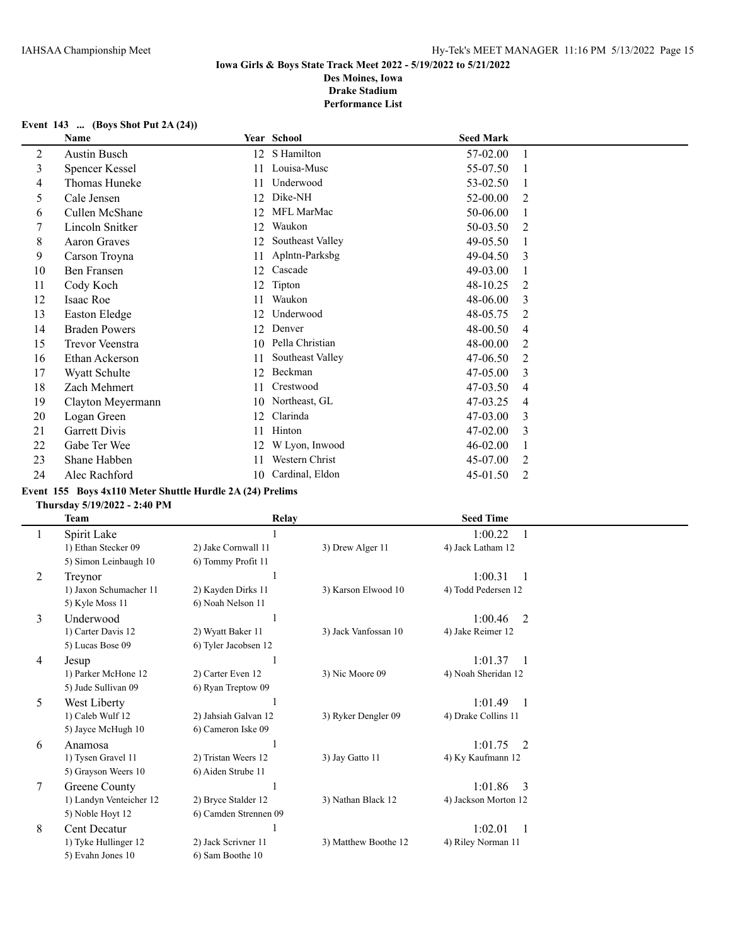# **Event 143 ... (Boys Shot Put 2A (24))**

|    | <b>Name</b>          |    | Year School      | <b>Seed Mark</b> |                |
|----|----------------------|----|------------------|------------------|----------------|
| 2  | Austin Busch         | 12 | S Hamilton       | 57-02.00         | 1              |
| 3  | Spencer Kessel       | 11 | Louisa-Musc      | 55-07.50         |                |
| 4  | Thomas Huneke        | 11 | Underwood        | 53-02.50         |                |
| 5  | Cale Jensen          | 12 | Dike-NH          | 52-00.00         | 2              |
| 6  | Cullen McShane       | 12 | MFL MarMac       | 50-06.00         |                |
|    | Lincoln Snitker      | 12 | Waukon           | 50-03.50         | 2              |
| 8  | Aaron Graves         | 12 | Southeast Valley | 49-05.50         |                |
| 9  | Carson Troyna        | 11 | Aplntn-Parksbg   | 49-04.50         | 3              |
| 10 | Ben Fransen          | 12 | Cascade          | 49-03.00         |                |
| 11 | Cody Koch            | 12 | Tipton           | 48-10.25         | $\overline{2}$ |
| 12 | Isaac Roe            | 11 | Waukon           | 48-06.00         | 3              |
| 13 | Easton Eledge        | 12 | Underwood        | 48-05.75         | 2              |
| 14 | <b>Braden Powers</b> | 12 | Denver           | 48-00.50         | 4              |
| 15 | Trevor Veenstra      | 10 | Pella Christian  | 48-00.00         | 2              |
| 16 | Ethan Ackerson       | 11 | Southeast Valley | 47-06.50         | 2              |
| 17 | Wyatt Schulte        | 12 | Beckman          | 47-05.00         | 3              |
| 18 | Zach Mehmert         | 11 | Crestwood        | 47-03.50         | 4              |
| 19 | Clayton Meyermann    | 10 | Northeast, GL    | 47-03.25         | 4              |
| 20 | Logan Green          | 12 | Clarinda         | 47-03.00         | 3              |
| 21 | Garrett Divis        | 11 | Hinton           | 47-02.00         | 3              |
| 22 | Gabe Ter Wee         | 12 | W Lyon, Inwood   | 46-02.00         |                |
| 23 | Shane Habben         | 11 | Western Christ   | 45-07.00         | 2              |
| 24 | Alec Rachford        | 10 | Cardinal, Eldon  | 45-01.50         | 2              |

# **Event 155 Boys 4x110 Meter Shuttle Hurdle 2A (24) Prelims**

**Thursday 5/19/2022 - 2:40 PM**

|   | <b>Team</b>             | <b>Relay</b>          |                      | <b>Seed Time</b>          |
|---|-------------------------|-----------------------|----------------------|---------------------------|
|   | Spirit Lake             |                       |                      | 1:00.22                   |
|   | 1) Ethan Stecker 09     | 2) Jake Cornwall 11   | 3) Drew Alger 11     | 4) Jack Latham 12         |
|   | 5) Simon Leinbaugh 10   | 6) Tommy Profit 11    |                      |                           |
| 2 | Treynor                 |                       |                      | 1:00.31                   |
|   | 1) Jaxon Schumacher 11  | 2) Kayden Dirks 11    | 3) Karson Elwood 10  | 4) Todd Pedersen 12       |
|   | 5) Kyle Moss 11         | 6) Noah Nelson 11     |                      |                           |
| 3 | Underwood               |                       |                      | 1:00.46<br>2              |
|   | 1) Carter Davis 12      | 2) Wyatt Baker 11     | 3) Jack Vanfossan 10 | 4) Jake Reimer 12         |
|   | 5) Lucas Bose 09        | 6) Tyler Jacobsen 12  |                      |                           |
| 4 | Jesup                   |                       |                      | 1:01.37                   |
|   | 1) Parker McHone 12     | 2) Carter Even 12     | 3) Nic Moore 09      | 4) Noah Sheridan 12       |
|   | 5) Jude Sullivan 09     | 6) Ryan Treptow 09    |                      |                           |
| 5 | West Liberty            |                       |                      | 1:01.49<br>$\overline{1}$ |
|   | 1) Caleb Wulf 12        | 2) Jahsiah Galvan 12  | 3) Ryker Dengler 09  | 4) Drake Collins 11       |
|   | 5) Jayce McHugh 10      | 6) Cameron Iske 09    |                      |                           |
| 6 | Anamosa                 |                       |                      | 1:01.75<br>- 2            |
|   | 1) Tysen Gravel 11      | 2) Tristan Weers 12   | 3) Jay Gatto 11      | 4) Ky Kaufmann 12         |
|   | 5) Grayson Weers 10     | 6) Aiden Strube 11    |                      |                           |
| 7 | Greene County           |                       |                      | 1:01.86<br>$\mathcal{E}$  |
|   | 1) Landyn Venteicher 12 | 2) Bryce Stalder 12   | 3) Nathan Black 12   | 4) Jackson Morton 12      |
|   | 5) Noble Hoyt 12        | 6) Camden Strennen 09 |                      |                           |
| 8 | Cent Decatur            |                       |                      | 1:02.01                   |
|   | 1) Tyke Hullinger 12    | 2) Jack Scrivner 11   | 3) Matthew Boothe 12 | 4) Riley Norman 11        |
|   | 5) Evahn Jones 10       | 6) Sam Boothe 10      |                      |                           |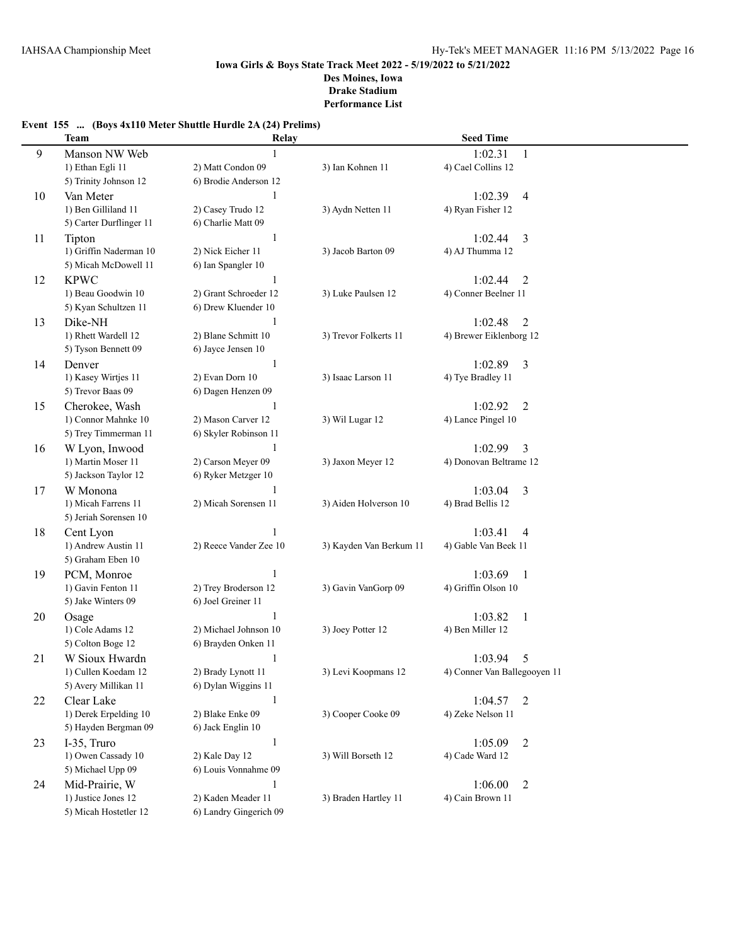# **Event 155 ... (Boys 4x110 Meter Shuttle Hurdle 2A (24) Prelims)**

|    | <b>Team</b>             | Relay                  |                         | <b>Seed Time</b>             |                |
|----|-------------------------|------------------------|-------------------------|------------------------------|----------------|
| 9  | Manson NW Web           |                        |                         | 1:02.31                      | 1              |
|    | 1) Ethan Egli 11        | 2) Matt Condon 09      | 3) Ian Kohnen 11        | 4) Cael Collins 12           |                |
|    | 5) Trinity Johnson 12   | 6) Brodie Anderson 12  |                         |                              |                |
| 10 | Van Meter               | 1                      |                         | 1:02.39                      | 4              |
|    | 1) Ben Gilliland 11     | 2) Casey Trudo 12      | 3) Aydn Netten 11       | 4) Ryan Fisher 12            |                |
|    | 5) Carter Durflinger 11 | 6) Charlie Matt 09     |                         |                              |                |
| 11 | Tipton                  | $\mathbf{1}$           |                         | 1:02.44                      | 3              |
|    | 1) Griffin Naderman 10  | 2) Nick Eicher 11      | 3) Jacob Barton 09      | 4) AJ Thumma 12              |                |
|    | 5) Micah McDowell 11    | 6) Ian Spangler 10     |                         |                              |                |
| 12 | <b>KPWC</b>             | 1                      |                         | 1:02.44                      | 2              |
|    | 1) Beau Goodwin 10      | 2) Grant Schroeder 12  | 3) Luke Paulsen 12      | 4) Conner Beelner 11         |                |
|    | 5) Kyan Schultzen 11    | 6) Drew Kluender 10    |                         |                              |                |
| 13 | Dike-NH                 | 1                      |                         | 1:02.48                      | 2              |
|    | 1) Rhett Wardell 12     | 2) Blane Schmitt 10    | 3) Trevor Folkerts 11   | 4) Brewer Eiklenborg 12      |                |
|    | 5) Tyson Bennett 09     | 6) Jayce Jensen 10     |                         |                              |                |
| 14 | Denver                  | $\mathbf{1}$           |                         | 1:02.89                      | 3              |
|    | 1) Kasey Wirtjes 11     | 2) Evan Dorn 10        | 3) Isaac Larson 11      | 4) Tye Bradley 11            |                |
|    | 5) Trevor Baas 09       | 6) Dagen Henzen 09     |                         |                              |                |
| 15 | Cherokee, Wash          | 1                      |                         | 1:02.92                      | 2              |
|    | 1) Connor Mahnke 10     | 2) Mason Carver 12     | 3) Wil Lugar 12         | 4) Lance Pingel 10           |                |
|    | 5) Trey Timmerman 11    | 6) Skyler Robinson 11  |                         |                              |                |
| 16 | W Lyon, Inwood          | 1                      |                         | 1:02.99                      | 3              |
|    | 1) Martin Moser 11      | 2) Carson Meyer 09     | 3) Jaxon Meyer 12       | 4) Donovan Beltrame 12       |                |
|    | 5) Jackson Taylor 12    | 6) Ryker Metzger 10    |                         |                              |                |
| 17 | W Monona                | 1                      |                         | 1:03.04                      | 3              |
|    | 1) Micah Farrens 11     | 2) Micah Sorensen 11   | 3) Aiden Holverson 10   | 4) Brad Bellis 12            |                |
|    | 5) Jeriah Sorensen 10   |                        |                         |                              |                |
| 18 | Cent Lyon               | 1                      |                         | 1:03.41                      | $\overline{4}$ |
|    | 1) Andrew Austin 11     | 2) Reece Vander Zee 10 | 3) Kayden Van Berkum 11 | 4) Gable Van Beek 11         |                |
|    | 5) Graham Eben 10       |                        |                         |                              |                |
| 19 | PCM, Monroe             | 1                      |                         | 1:03.69                      | -1             |
|    | 1) Gavin Fenton 11      | 2) Trey Broderson 12   | 3) Gavin VanGorp 09     | 4) Griffin Olson 10          |                |
|    | 5) Jake Winters 09      | 6) Joel Greiner 11     |                         |                              |                |
| 20 | Osage                   | 1                      |                         | 1:03.82                      | $\mathbf{1}$   |
|    | 1) Cole Adams 12        | 2) Michael Johnson 10  | 3) Joey Potter 12       | 4) Ben Miller 12             |                |
|    | 5) Colton Boge 12       | 6) Brayden Onken 11    |                         |                              |                |
| 21 | W Sioux Hwardn          | $\mathbf{1}$           |                         | 1:03.94                      | 5              |
|    | 1) Cullen Koedam 12     | 2) Brady Lynott 11     | 3) Levi Koopmans 12     | 4) Conner Van Ballegooyen 11 |                |
|    | 5) Avery Millikan 11    | 6) Dylan Wiggins 11    |                         |                              |                |
| 22 | Clear Lake              | $\mathbf{1}$           |                         | $1:04.57$ 2                  |                |
|    | 1) Derek Erpelding 10   | 2) Blake Enke 09       | 3) Cooper Cooke 09      | 4) Zeke Nelson 11            |                |
|    | 5) Hayden Bergman 09    | 6) Jack Englin 10      |                         |                              |                |
| 23 | I-35, Truro             | $\mathbf{1}$           |                         | 1:05.09                      | 2              |
|    | 1) Owen Cassady 10      | 2) Kale Day 12         | 3) Will Borseth 12      | 4) Cade Ward 12              |                |
|    | 5) Michael Upp 09       | 6) Louis Vonnahme 09   |                         |                              |                |
| 24 | Mid-Prairie, W          | 1                      |                         | 1:06.00                      | $\overline{2}$ |
|    | 1) Justice Jones 12     | 2) Kaden Meader 11     | 3) Braden Hartley 11    | 4) Cain Brown 11             |                |
|    | 5) Micah Hostetler 12   | 6) Landry Gingerich 09 |                         |                              |                |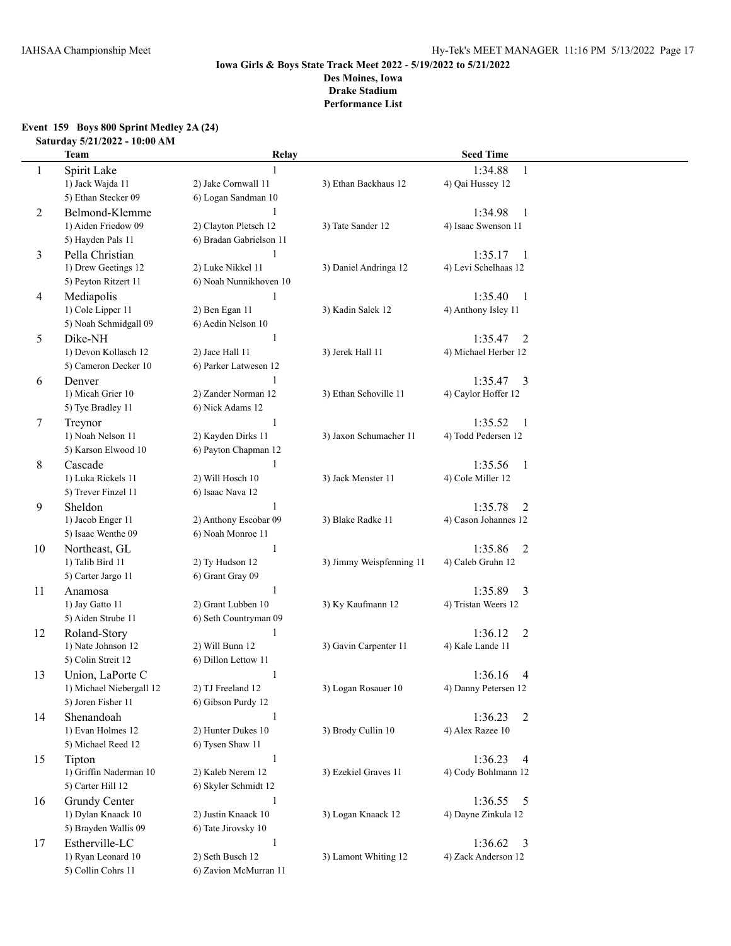#### **Event 159 Boys 800 Sprint Medley 2A (24) Saturday 5/21/2022 - 10:00 AM**

|    | <b>Team</b>              | Relay                   |                          | <b>Seed Time</b>                    |  |
|----|--------------------------|-------------------------|--------------------------|-------------------------------------|--|
| 1  | Spirit Lake              |                         |                          | 1:34.88<br>$\mathbf{1}$             |  |
|    | 1) Jack Wajda 11         | 2) Jake Cornwall 11     | 3) Ethan Backhaus 12     | 4) Qai Hussey 12                    |  |
|    | 5) Ethan Stecker 09      | 6) Logan Sandman 10     |                          |                                     |  |
| 2  | Belmond-Klemme           |                         |                          | 1:34.98<br>1                        |  |
|    | 1) Aiden Friedow 09      | 2) Clayton Pletsch 12   | 3) Tate Sander 12        | 4) Isaac Swenson 11                 |  |
|    | 5) Hayden Pals 11        | 6) Bradan Gabrielson 11 |                          |                                     |  |
| 3  | Pella Christian          | 1                       |                          | 1:35.17<br>$\overline{\phantom{0}}$ |  |
|    | 1) Drew Geetings 12      | 2) Luke Nikkel 11       | 3) Daniel Andringa 12    | 4) Levi Schelhaas 12                |  |
|    | 5) Peyton Ritzert 11     | 6) Noah Nunnikhoven 10  |                          |                                     |  |
| 4  | Mediapolis               | $\mathbf{1}$            |                          | 1:35.40<br>$\overline{1}$           |  |
|    | 1) Cole Lipper 11        | 2) Ben Egan 11          | 3) Kadin Salek 12        | 4) Anthony Isley 11                 |  |
|    | 5) Noah Schmidgall 09    | 6) Aedin Nelson 10      |                          |                                     |  |
| 5  | Dike-NH                  | $\mathbf{1}$            |                          | 1:35.47<br>2                        |  |
|    | 1) Devon Kollasch 12     | 2) Jace Hall 11         | 3) Jerek Hall 11         | 4) Michael Herber 12                |  |
|    | 5) Cameron Decker 10     | 6) Parker Latwesen 12   |                          |                                     |  |
| 6  | Denver                   | 1                       |                          | 1:35.47<br>3                        |  |
|    | 1) Micah Grier 10        | 2) Zander Norman 12     | 3) Ethan Schoville 11    | 4) Caylor Hoffer 12                 |  |
|    | 5) Tye Bradley 11        | 6) Nick Adams 12        |                          |                                     |  |
| 7  | Treynor                  | 1                       |                          | 1:35.52<br>-1                       |  |
|    | 1) Noah Nelson 11        | 2) Kayden Dirks 11      | 3) Jaxon Schumacher 11   | 4) Todd Pedersen 12                 |  |
|    | 5) Karson Elwood 10      | 6) Payton Chapman 12    |                          |                                     |  |
| 8  | Cascade                  | $\mathbf{1}$            |                          | 1:35.56<br>$\mathbf{1}$             |  |
|    | 1) Luka Rickels 11       | 2) Will Hosch 10        | 3) Jack Menster 11       | 4) Cole Miller 12                   |  |
|    | 5) Trever Finzel 11      | 6) Isaac Nava 12        |                          |                                     |  |
| 9  | Sheldon                  | 1                       |                          | 1:35.78<br>2                        |  |
|    | 1) Jacob Enger 11        | 2) Anthony Escobar 09   | 3) Blake Radke 11        | 4) Cason Johannes 12                |  |
|    | 5) Isaac Wenthe 09       | 6) Noah Monroe 11       |                          |                                     |  |
| 10 | Northeast, GL            | 1                       |                          | 1:35.86<br>2                        |  |
|    | 1) Talib Bird 11         | 2) Ty Hudson 12         | 3) Jimmy Weispfenning 11 | 4) Caleb Gruhn 12                   |  |
|    | 5) Carter Jargo 11       | 6) Grant Gray 09        |                          |                                     |  |
| 11 | Anamosa                  | $\mathbf{1}$            |                          | 1:35.89<br>3                        |  |
|    | 1) Jay Gatto 11          | 2) Grant Lubben 10      | 3) Ky Kaufmann 12        | 4) Tristan Weers 12                 |  |
|    | 5) Aiden Strube 11       | 6) Seth Countryman 09   |                          |                                     |  |
| 12 | Roland-Story             | $\mathbf{1}$            |                          | 1:36.12<br>$\overline{2}$           |  |
|    | 1) Nate Johnson 12       | 2) Will Bunn 12         | 3) Gavin Carpenter 11    | 4) Kale Lande 11                    |  |
|    | 5) Colin Streit 12       | 6) Dillon Lettow 11     |                          |                                     |  |
| 13 | Union, LaPorte C         | $\mathbf{1}$            |                          | 1:36.16<br>4                        |  |
|    | 1) Michael Niebergall 12 | 2) TJ Freeland 12       | 3) Logan Rosauer 10      | 4) Danny Petersen 12                |  |
|    | 5) Joren Fisher 11       | 6) Gibson Purdy 12      |                          |                                     |  |
| 14 | Shenandoah               | $\mathbf{1}$            |                          | 1:36.23<br>$\overline{2}$           |  |
|    | 1) Evan Holmes 12        | 2) Hunter Dukes 10      | 3) Brody Cullin 10       | 4) Alex Razee 10                    |  |
|    | 5) Michael Reed 12       | 6) Tysen Shaw 11        |                          |                                     |  |
| 15 | Tipton                   | $\mathbf{1}$            |                          | 1:36.23<br>4                        |  |
|    | 1) Griffin Naderman 10   | 2) Kaleb Nerem 12       | 3) Ezekiel Graves 11     | 4) Cody Bohlmann 12                 |  |
|    | 5) Carter Hill 12        | 6) Skyler Schmidt 12    |                          |                                     |  |
| 16 | Grundy Center            | $\mathbf{1}$            |                          | 1:36.55<br>5                        |  |
|    | 1) Dylan Knaack 10       | 2) Justin Knaack 10     | 3) Logan Knaack 12       | 4) Dayne Zinkula 12                 |  |
|    | 5) Brayden Wallis 09     | 6) Tate Jirovsky 10     |                          |                                     |  |
| 17 | Estherville-LC           | $\mathbf{1}$            |                          | 1:36.62<br>$\overline{3}$           |  |
|    | 1) Ryan Leonard 10       | 2) Seth Busch 12        | 3) Lamont Whiting 12     | 4) Zack Anderson 12                 |  |
|    | 5) Collin Cohrs 11       | 6) Zavion McMurran 11   |                          |                                     |  |